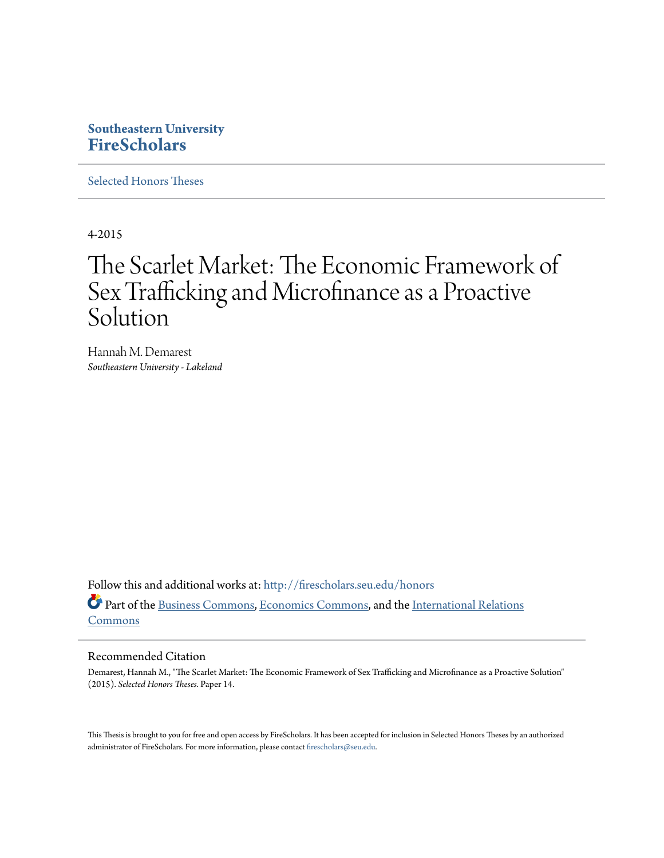# **Southeastern University [FireScholars](http://firescholars.seu.edu?utm_source=firescholars.seu.edu%2Fhonors%2F14&utm_medium=PDF&utm_campaign=PDFCoverPages)**

[Selected Honors Theses](http://firescholars.seu.edu/honors?utm_source=firescholars.seu.edu%2Fhonors%2F14&utm_medium=PDF&utm_campaign=PDFCoverPages)

4-2015

# The Scarlet Market: The Economic Framework of Sex Trafficking and Microfinance as a Proactive Solution

Hannah M. Demarest *Southeastern University - Lakeland*

Follow this and additional works at: [http://firescholars.seu.edu/honors](http://firescholars.seu.edu/honors?utm_source=firescholars.seu.edu%2Fhonors%2F14&utm_medium=PDF&utm_campaign=PDFCoverPages) Part of the [Business Commons,](http://network.bepress.com/hgg/discipline/622?utm_source=firescholars.seu.edu%2Fhonors%2F14&utm_medium=PDF&utm_campaign=PDFCoverPages) [Economics Commons,](http://network.bepress.com/hgg/discipline/340?utm_source=firescholars.seu.edu%2Fhonors%2F14&utm_medium=PDF&utm_campaign=PDFCoverPages) and the [International Relations](http://network.bepress.com/hgg/discipline/389?utm_source=firescholars.seu.edu%2Fhonors%2F14&utm_medium=PDF&utm_campaign=PDFCoverPages) [Commons](http://network.bepress.com/hgg/discipline/389?utm_source=firescholars.seu.edu%2Fhonors%2F14&utm_medium=PDF&utm_campaign=PDFCoverPages)

#### Recommended Citation

Demarest, Hannah M., "The Scarlet Market: The Economic Framework of Sex Trafficking and Microfinance as a Proactive Solution" (2015). *Selected Honors Theses.* Paper 14.

This Thesis is brought to you for free and open access by FireScholars. It has been accepted for inclusion in Selected Honors Theses by an authorized administrator of FireScholars. For more information, please contact [firescholars@seu.edu](mailto:firescholars@seu.edu).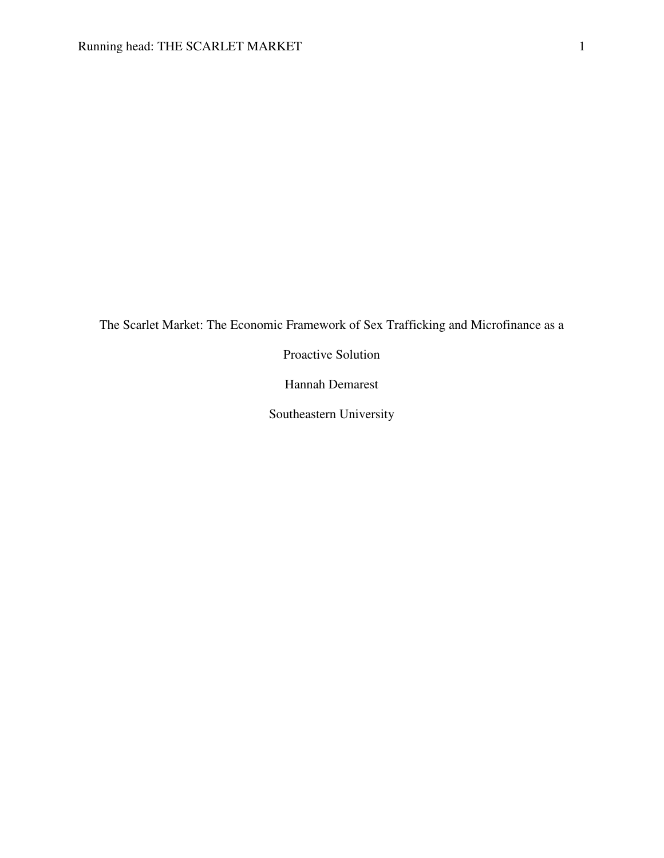The Scarlet Market: The Economic Framework of Sex Trafficking and Microfinance as a

Proactive Solution

Hannah Demarest

Southeastern University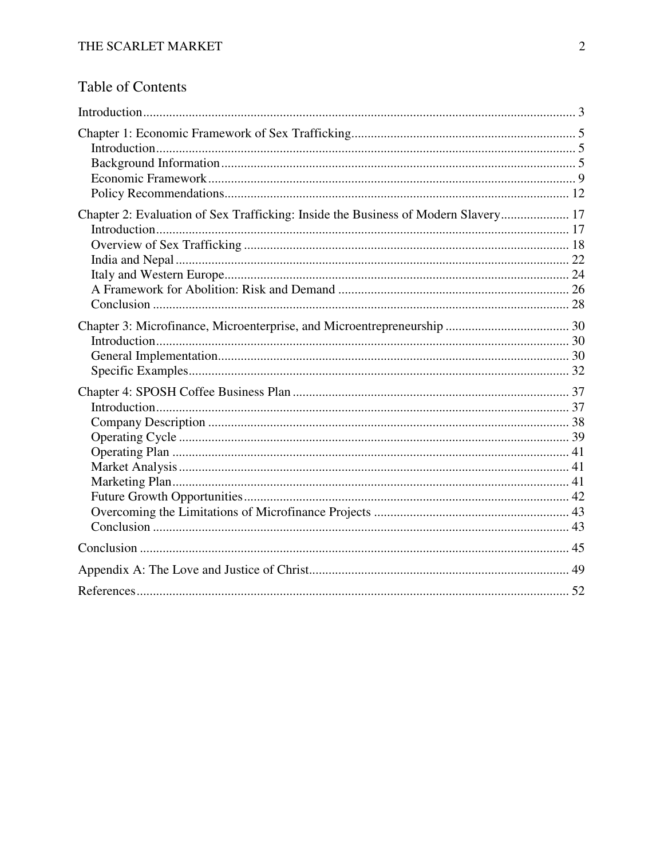# Table of Contents

| Chapter 2: Evaluation of Sex Trafficking: Inside the Business of Modern Slavery 17 |  |
|------------------------------------------------------------------------------------|--|
|                                                                                    |  |
|                                                                                    |  |
|                                                                                    |  |
|                                                                                    |  |
|                                                                                    |  |
|                                                                                    |  |
|                                                                                    |  |
|                                                                                    |  |
|                                                                                    |  |
|                                                                                    |  |
|                                                                                    |  |
|                                                                                    |  |
|                                                                                    |  |
|                                                                                    |  |
|                                                                                    |  |
|                                                                                    |  |
|                                                                                    |  |
|                                                                                    |  |
|                                                                                    |  |
|                                                                                    |  |
|                                                                                    |  |
|                                                                                    |  |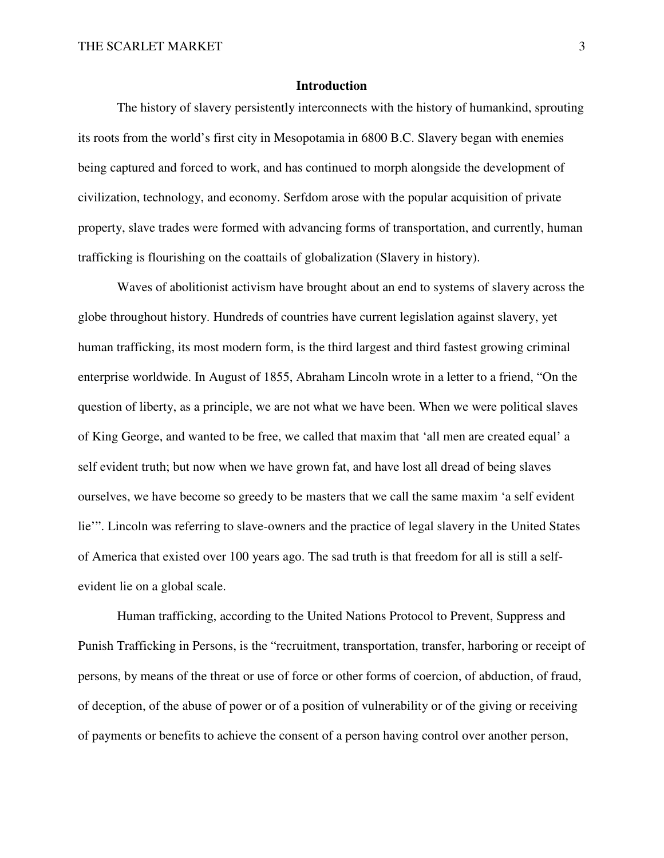### **Introduction**

 The history of slavery persistently interconnects with the history of humankind, sprouting its roots from the world's first city in Mesopotamia in 6800 B.C. Slavery began with enemies being captured and forced to work, and has continued to morph alongside the development of civilization, technology, and economy. Serfdom arose with the popular acquisition of private property, slave trades were formed with advancing forms of transportation, and currently, human trafficking is flourishing on the coattails of globalization (Slavery in history).

 Waves of abolitionist activism have brought about an end to systems of slavery across the globe throughout history. Hundreds of countries have current legislation against slavery, yet human trafficking, its most modern form, is the third largest and third fastest growing criminal enterprise worldwide. In August of 1855, Abraham Lincoln wrote in a letter to a friend, "On the question of liberty, as a principle, we are not what we have been. When we were political slaves of King George, and wanted to be free, we called that maxim that 'all men are created equal' a self evident truth; but now when we have grown fat, and have lost all dread of being slaves ourselves, we have become so greedy to be masters that we call the same maxim 'a self evident lie'". Lincoln was referring to slave-owners and the practice of legal slavery in the United States of America that existed over 100 years ago. The sad truth is that freedom for all is still a selfevident lie on a global scale.

 Human trafficking, according to the United Nations Protocol to Prevent, Suppress and Punish Trafficking in Persons, is the "recruitment, transportation, transfer, harboring or receipt of persons, by means of the threat or use of force or other forms of coercion, of abduction, of fraud, of deception, of the abuse of power or of a position of vulnerability or of the giving or receiving of payments or benefits to achieve the consent of a person having control over another person,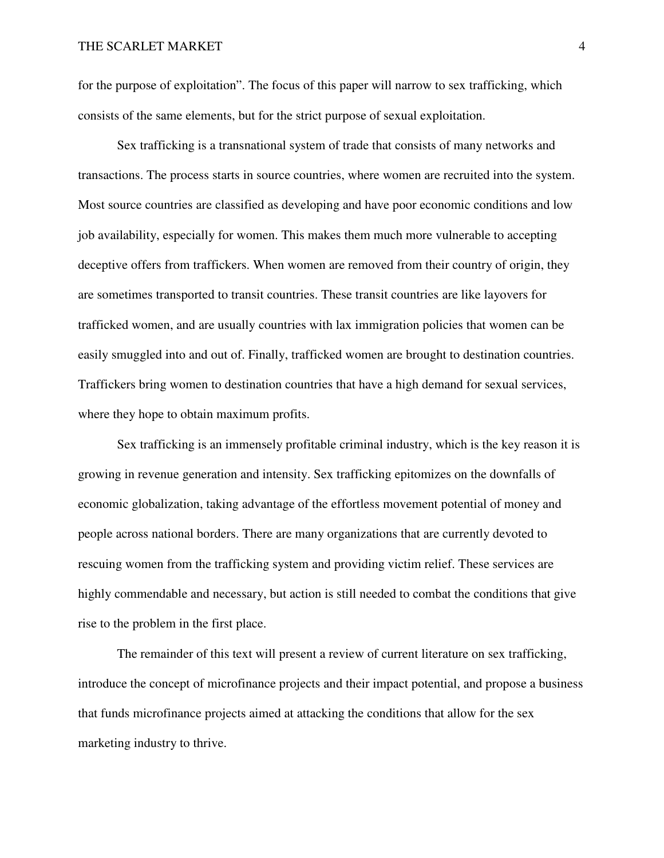for the purpose of exploitation". The focus of this paper will narrow to sex trafficking, which consists of the same elements, but for the strict purpose of sexual exploitation.

 Sex trafficking is a transnational system of trade that consists of many networks and transactions. The process starts in source countries, where women are recruited into the system. Most source countries are classified as developing and have poor economic conditions and low job availability, especially for women. This makes them much more vulnerable to accepting deceptive offers from traffickers. When women are removed from their country of origin, they are sometimes transported to transit countries. These transit countries are like layovers for trafficked women, and are usually countries with lax immigration policies that women can be easily smuggled into and out of. Finally, trafficked women are brought to destination countries. Traffickers bring women to destination countries that have a high demand for sexual services, where they hope to obtain maximum profits.

 Sex trafficking is an immensely profitable criminal industry, which is the key reason it is growing in revenue generation and intensity. Sex trafficking epitomizes on the downfalls of economic globalization, taking advantage of the effortless movement potential of money and people across national borders. There are many organizations that are currently devoted to rescuing women from the trafficking system and providing victim relief. These services are highly commendable and necessary, but action is still needed to combat the conditions that give rise to the problem in the first place.

 The remainder of this text will present a review of current literature on sex trafficking, introduce the concept of microfinance projects and their impact potential, and propose a business that funds microfinance projects aimed at attacking the conditions that allow for the sex marketing industry to thrive.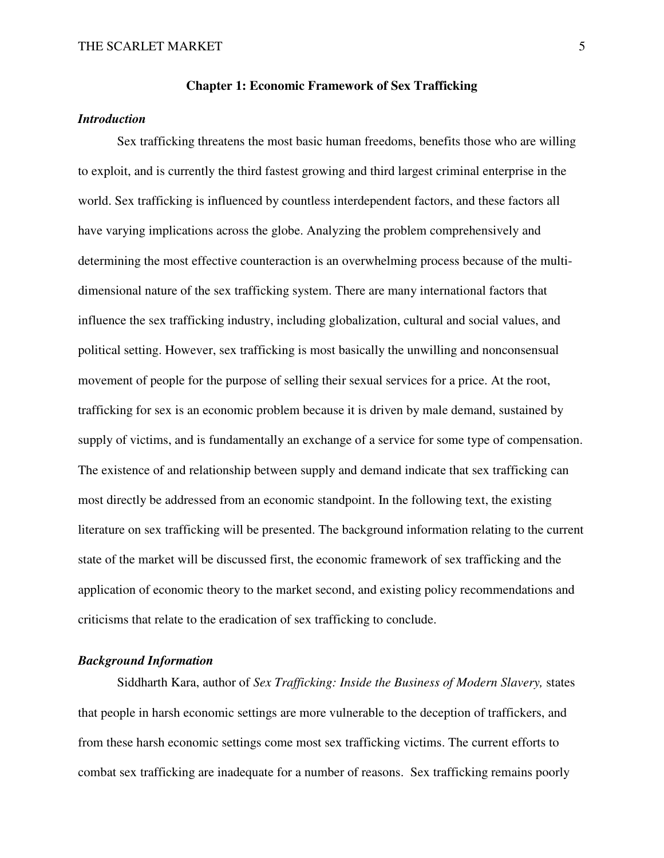#### **Chapter 1: Economic Framework of Sex Trafficking**

# *Introduction*

 Sex trafficking threatens the most basic human freedoms, benefits those who are willing to exploit, and is currently the third fastest growing and third largest criminal enterprise in the world. Sex trafficking is influenced by countless interdependent factors, and these factors all have varying implications across the globe. Analyzing the problem comprehensively and determining the most effective counteraction is an overwhelming process because of the multidimensional nature of the sex trafficking system. There are many international factors that influence the sex trafficking industry, including globalization, cultural and social values, and political setting. However, sex trafficking is most basically the unwilling and nonconsensual movement of people for the purpose of selling their sexual services for a price. At the root, trafficking for sex is an economic problem because it is driven by male demand, sustained by supply of victims, and is fundamentally an exchange of a service for some type of compensation. The existence of and relationship between supply and demand indicate that sex trafficking can most directly be addressed from an economic standpoint. In the following text, the existing literature on sex trafficking will be presented. The background information relating to the current state of the market will be discussed first, the economic framework of sex trafficking and the application of economic theory to the market second, and existing policy recommendations and criticisms that relate to the eradication of sex trafficking to conclude.

#### *Background Information*

 Siddharth Kara, author of *Sex Trafficking: Inside the Business of Modern Slavery,* states that people in harsh economic settings are more vulnerable to the deception of traffickers, and from these harsh economic settings come most sex trafficking victims. The current efforts to combat sex trafficking are inadequate for a number of reasons. Sex trafficking remains poorly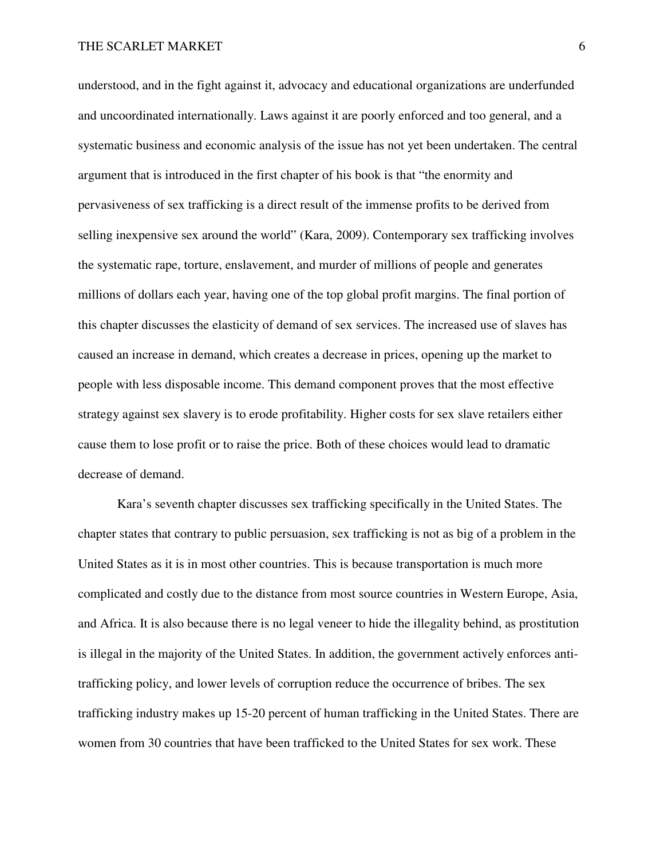understood, and in the fight against it, advocacy and educational organizations are underfunded and uncoordinated internationally. Laws against it are poorly enforced and too general, and a systematic business and economic analysis of the issue has not yet been undertaken. The central argument that is introduced in the first chapter of his book is that "the enormity and pervasiveness of sex trafficking is a direct result of the immense profits to be derived from selling inexpensive sex around the world" (Kara, 2009). Contemporary sex trafficking involves the systematic rape, torture, enslavement, and murder of millions of people and generates millions of dollars each year, having one of the top global profit margins. The final portion of this chapter discusses the elasticity of demand of sex services. The increased use of slaves has caused an increase in demand, which creates a decrease in prices, opening up the market to people with less disposable income. This demand component proves that the most effective strategy against sex slavery is to erode profitability. Higher costs for sex slave retailers either cause them to lose profit or to raise the price. Both of these choices would lead to dramatic decrease of demand.

 Kara's seventh chapter discusses sex trafficking specifically in the United States. The chapter states that contrary to public persuasion, sex trafficking is not as big of a problem in the United States as it is in most other countries. This is because transportation is much more complicated and costly due to the distance from most source countries in Western Europe, Asia, and Africa. It is also because there is no legal veneer to hide the illegality behind, as prostitution is illegal in the majority of the United States. In addition, the government actively enforces antitrafficking policy, and lower levels of corruption reduce the occurrence of bribes. The sex trafficking industry makes up 15-20 percent of human trafficking in the United States. There are women from 30 countries that have been trafficked to the United States for sex work. These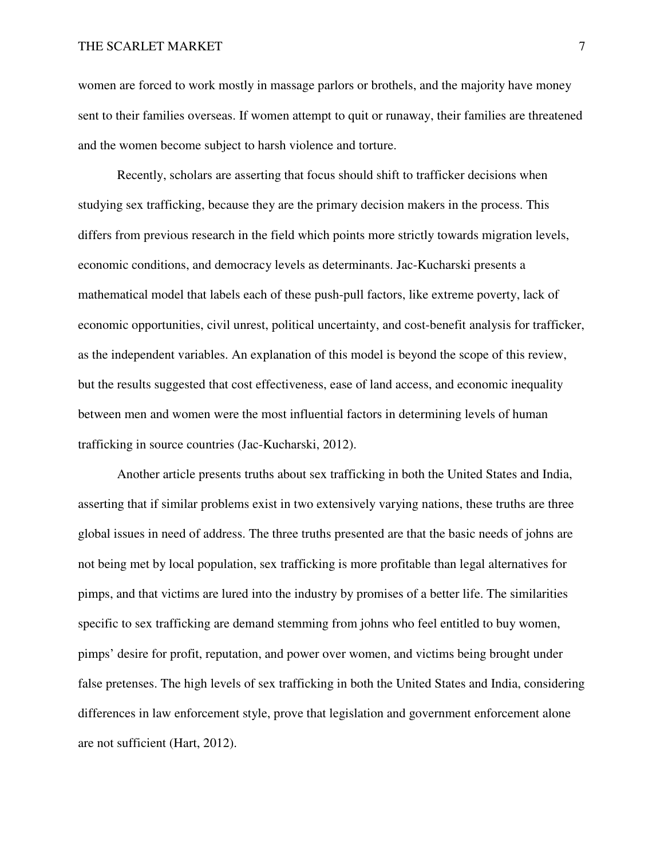women are forced to work mostly in massage parlors or brothels, and the majority have money sent to their families overseas. If women attempt to quit or runaway, their families are threatened and the women become subject to harsh violence and torture.

 Recently, scholars are asserting that focus should shift to trafficker decisions when studying sex trafficking, because they are the primary decision makers in the process. This differs from previous research in the field which points more strictly towards migration levels, economic conditions, and democracy levels as determinants. Jac-Kucharski presents a mathematical model that labels each of these push-pull factors, like extreme poverty, lack of economic opportunities, civil unrest, political uncertainty, and cost-benefit analysis for trafficker, as the independent variables. An explanation of this model is beyond the scope of this review, but the results suggested that cost effectiveness, ease of land access, and economic inequality between men and women were the most influential factors in determining levels of human trafficking in source countries (Jac-Kucharski, 2012).

 Another article presents truths about sex trafficking in both the United States and India, asserting that if similar problems exist in two extensively varying nations, these truths are three global issues in need of address. The three truths presented are that the basic needs of johns are not being met by local population, sex trafficking is more profitable than legal alternatives for pimps, and that victims are lured into the industry by promises of a better life. The similarities specific to sex trafficking are demand stemming from johns who feel entitled to buy women, pimps' desire for profit, reputation, and power over women, and victims being brought under false pretenses. The high levels of sex trafficking in both the United States and India, considering differences in law enforcement style, prove that legislation and government enforcement alone are not sufficient (Hart, 2012).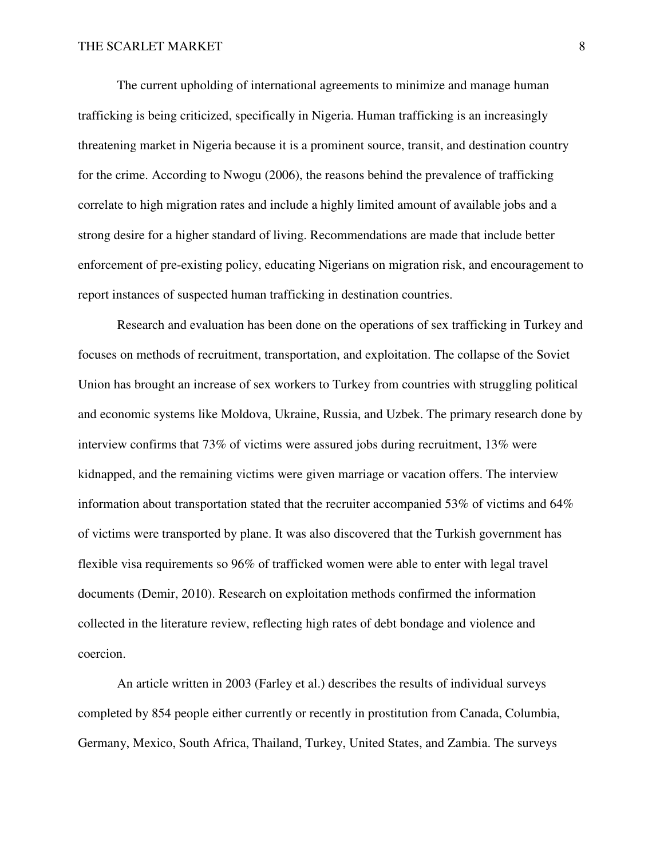The current upholding of international agreements to minimize and manage human trafficking is being criticized, specifically in Nigeria. Human trafficking is an increasingly threatening market in Nigeria because it is a prominent source, transit, and destination country for the crime. According to Nwogu (2006), the reasons behind the prevalence of trafficking correlate to high migration rates and include a highly limited amount of available jobs and a strong desire for a higher standard of living. Recommendations are made that include better enforcement of pre-existing policy, educating Nigerians on migration risk, and encouragement to report instances of suspected human trafficking in destination countries.

 Research and evaluation has been done on the operations of sex trafficking in Turkey and focuses on methods of recruitment, transportation, and exploitation. The collapse of the Soviet Union has brought an increase of sex workers to Turkey from countries with struggling political and economic systems like Moldova, Ukraine, Russia, and Uzbek. The primary research done by interview confirms that 73% of victims were assured jobs during recruitment, 13% were kidnapped, and the remaining victims were given marriage or vacation offers. The interview information about transportation stated that the recruiter accompanied 53% of victims and 64% of victims were transported by plane. It was also discovered that the Turkish government has flexible visa requirements so 96% of trafficked women were able to enter with legal travel documents (Demir, 2010). Research on exploitation methods confirmed the information collected in the literature review, reflecting high rates of debt bondage and violence and coercion.

 An article written in 2003 (Farley et al.) describes the results of individual surveys completed by 854 people either currently or recently in prostitution from Canada, Columbia, Germany, Mexico, South Africa, Thailand, Turkey, United States, and Zambia. The surveys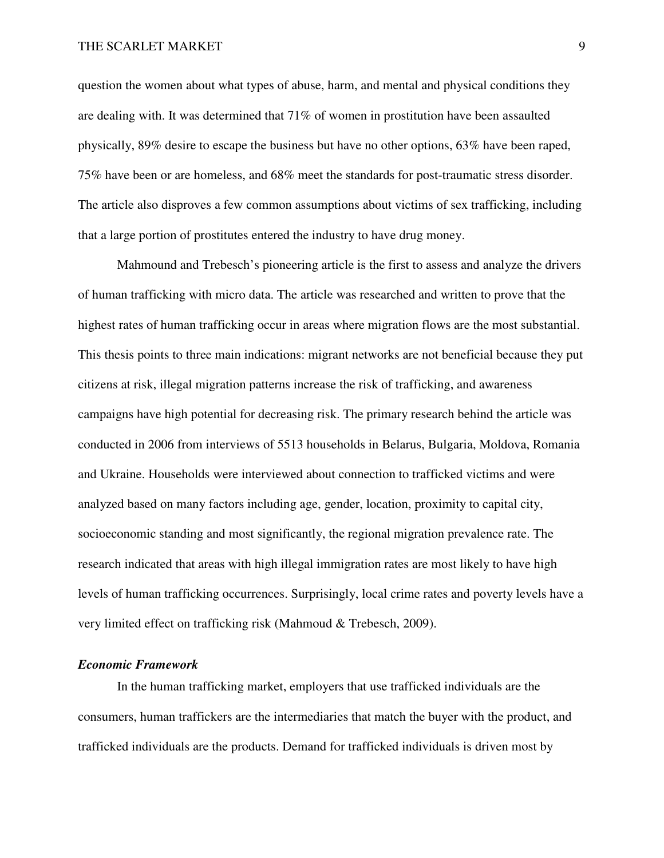question the women about what types of abuse, harm, and mental and physical conditions they are dealing with. It was determined that 71% of women in prostitution have been assaulted physically, 89% desire to escape the business but have no other options, 63% have been raped, 75% have been or are homeless, and 68% meet the standards for post-traumatic stress disorder. The article also disproves a few common assumptions about victims of sex trafficking, including that a large portion of prostitutes entered the industry to have drug money.

 Mahmound and Trebesch's pioneering article is the first to assess and analyze the drivers of human trafficking with micro data. The article was researched and written to prove that the highest rates of human trafficking occur in areas where migration flows are the most substantial. This thesis points to three main indications: migrant networks are not beneficial because they put citizens at risk, illegal migration patterns increase the risk of trafficking, and awareness campaigns have high potential for decreasing risk. The primary research behind the article was conducted in 2006 from interviews of 5513 households in Belarus, Bulgaria, Moldova, Romania and Ukraine. Households were interviewed about connection to trafficked victims and were analyzed based on many factors including age, gender, location, proximity to capital city, socioeconomic standing and most significantly, the regional migration prevalence rate. The research indicated that areas with high illegal immigration rates are most likely to have high levels of human trafficking occurrences. Surprisingly, local crime rates and poverty levels have a very limited effect on trafficking risk (Mahmoud & Trebesch, 2009).

# *Economic Framework*

 In the human trafficking market, employers that use trafficked individuals are the consumers, human traffickers are the intermediaries that match the buyer with the product, and trafficked individuals are the products. Demand for trafficked individuals is driven most by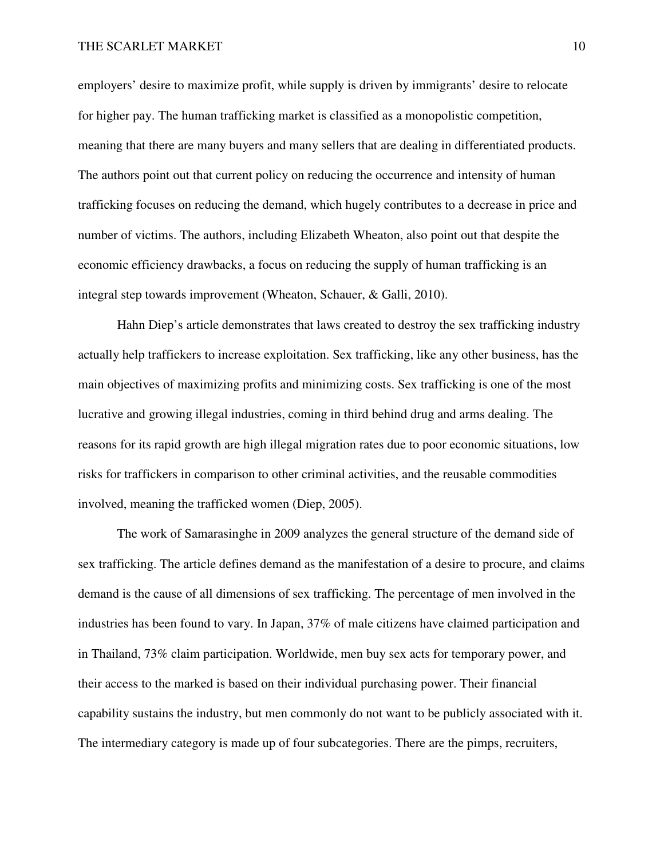#### THE SCARLET MARKET 10

employers' desire to maximize profit, while supply is driven by immigrants' desire to relocate for higher pay. The human trafficking market is classified as a monopolistic competition, meaning that there are many buyers and many sellers that are dealing in differentiated products. The authors point out that current policy on reducing the occurrence and intensity of human trafficking focuses on reducing the demand, which hugely contributes to a decrease in price and number of victims. The authors, including Elizabeth Wheaton, also point out that despite the economic efficiency drawbacks, a focus on reducing the supply of human trafficking is an integral step towards improvement (Wheaton, Schauer, & Galli, 2010).

 Hahn Diep's article demonstrates that laws created to destroy the sex trafficking industry actually help traffickers to increase exploitation. Sex trafficking, like any other business, has the main objectives of maximizing profits and minimizing costs. Sex trafficking is one of the most lucrative and growing illegal industries, coming in third behind drug and arms dealing. The reasons for its rapid growth are high illegal migration rates due to poor economic situations, low risks for traffickers in comparison to other criminal activities, and the reusable commodities involved, meaning the trafficked women (Diep, 2005).

 The work of Samarasinghe in 2009 analyzes the general structure of the demand side of sex trafficking. The article defines demand as the manifestation of a desire to procure, and claims demand is the cause of all dimensions of sex trafficking. The percentage of men involved in the industries has been found to vary. In Japan, 37% of male citizens have claimed participation and in Thailand, 73% claim participation. Worldwide, men buy sex acts for temporary power, and their access to the marked is based on their individual purchasing power. Their financial capability sustains the industry, but men commonly do not want to be publicly associated with it. The intermediary category is made up of four subcategories. There are the pimps, recruiters,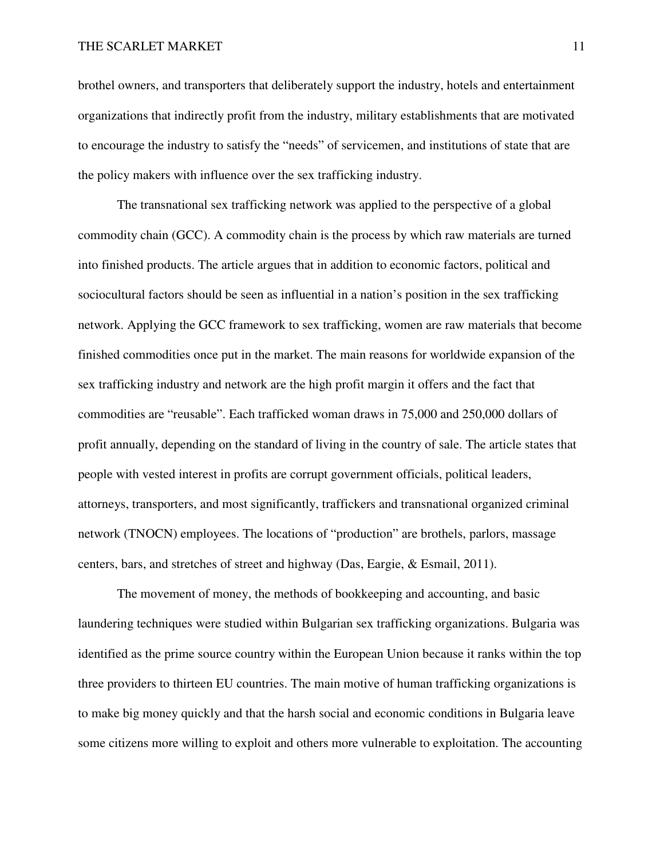brothel owners, and transporters that deliberately support the industry, hotels and entertainment organizations that indirectly profit from the industry, military establishments that are motivated to encourage the industry to satisfy the "needs" of servicemen, and institutions of state that are the policy makers with influence over the sex trafficking industry.

 The transnational sex trafficking network was applied to the perspective of a global commodity chain (GCC). A commodity chain is the process by which raw materials are turned into finished products. The article argues that in addition to economic factors, political and sociocultural factors should be seen as influential in a nation's position in the sex trafficking network. Applying the GCC framework to sex trafficking, women are raw materials that become finished commodities once put in the market. The main reasons for worldwide expansion of the sex trafficking industry and network are the high profit margin it offers and the fact that commodities are "reusable". Each trafficked woman draws in 75,000 and 250,000 dollars of profit annually, depending on the standard of living in the country of sale. The article states that people with vested interest in profits are corrupt government officials, political leaders, attorneys, transporters, and most significantly, traffickers and transnational organized criminal network (TNOCN) employees. The locations of "production" are brothels, parlors, massage centers, bars, and stretches of street and highway (Das, Eargie, & Esmail, 2011).

 The movement of money, the methods of bookkeeping and accounting, and basic laundering techniques were studied within Bulgarian sex trafficking organizations. Bulgaria was identified as the prime source country within the European Union because it ranks within the top three providers to thirteen EU countries. The main motive of human trafficking organizations is to make big money quickly and that the harsh social and economic conditions in Bulgaria leave some citizens more willing to exploit and others more vulnerable to exploitation. The accounting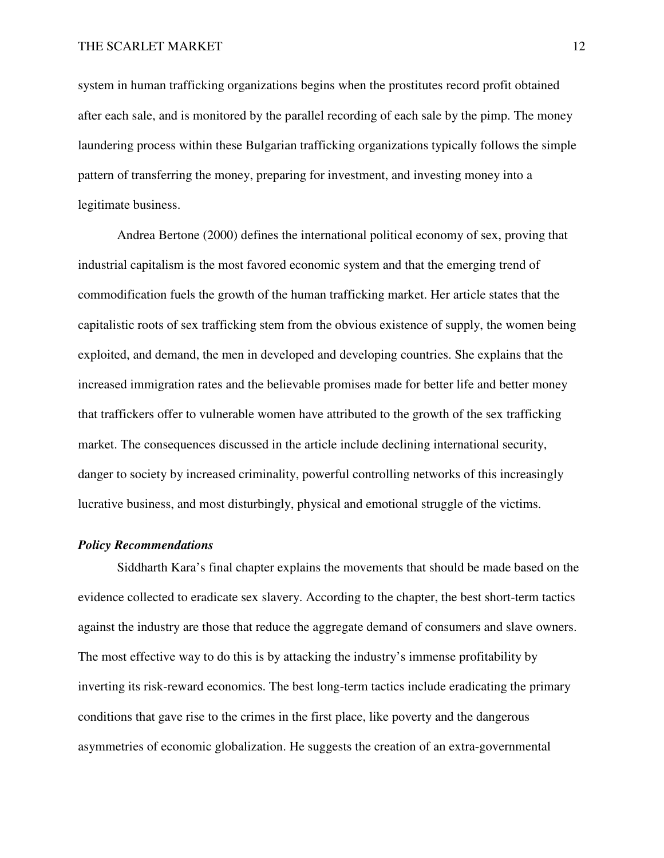system in human trafficking organizations begins when the prostitutes record profit obtained after each sale, and is monitored by the parallel recording of each sale by the pimp. The money laundering process within these Bulgarian trafficking organizations typically follows the simple pattern of transferring the money, preparing for investment, and investing money into a legitimate business.

 Andrea Bertone (2000) defines the international political economy of sex, proving that industrial capitalism is the most favored economic system and that the emerging trend of commodification fuels the growth of the human trafficking market. Her article states that the capitalistic roots of sex trafficking stem from the obvious existence of supply, the women being exploited, and demand, the men in developed and developing countries. She explains that the increased immigration rates and the believable promises made for better life and better money that traffickers offer to vulnerable women have attributed to the growth of the sex trafficking market. The consequences discussed in the article include declining international security, danger to society by increased criminality, powerful controlling networks of this increasingly lucrative business, and most disturbingly, physical and emotional struggle of the victims.

#### *Policy Recommendations*

 Siddharth Kara's final chapter explains the movements that should be made based on the evidence collected to eradicate sex slavery. According to the chapter, the best short-term tactics against the industry are those that reduce the aggregate demand of consumers and slave owners. The most effective way to do this is by attacking the industry's immense profitability by inverting its risk-reward economics. The best long-term tactics include eradicating the primary conditions that gave rise to the crimes in the first place, like poverty and the dangerous asymmetries of economic globalization. He suggests the creation of an extra-governmental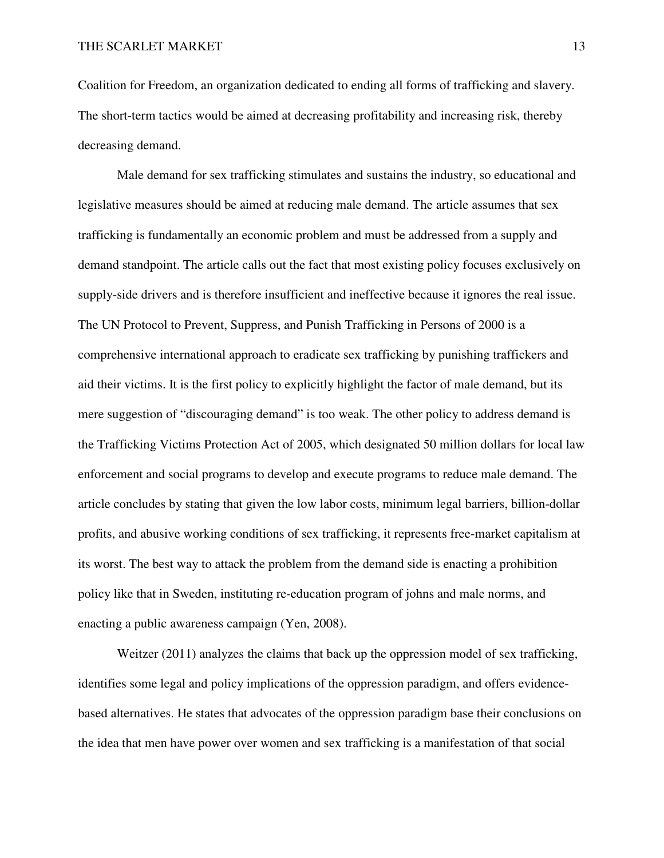Coalition for Freedom, an organization dedicated to ending all forms of trafficking and slavery. The short-term tactics would be aimed at decreasing profitability and increasing risk, thereby decreasing demand.

 Male demand for sex trafficking stimulates and sustains the industry, so educational and legislative measures should be aimed at reducing male demand. The article assumes that sex trafficking is fundamentally an economic problem and must be addressed from a supply and demand standpoint. The article calls out the fact that most existing policy focuses exclusively on supply-side drivers and is therefore insufficient and ineffective because it ignores the real issue. The UN Protocol to Prevent, Suppress, and Punish Trafficking in Persons of 2000 is a comprehensive international approach to eradicate sex trafficking by punishing traffickers and aid their victims. It is the first policy to explicitly highlight the factor of male demand, but its mere suggestion of "discouraging demand" is too weak. The other policy to address demand is the Trafficking Victims Protection Act of 2005, which designated 50 million dollars for local law enforcement and social programs to develop and execute programs to reduce male demand. The article concludes by stating that given the low labor costs, minimum legal barriers, billion-dollar profits, and abusive working conditions of sex trafficking, it represents free-market capitalism at its worst. The best way to attack the problem from the demand side is enacting a prohibition policy like that in Sweden, instituting re-education program of johns and male norms, and enacting a public awareness campaign (Yen, 2008).

Weitzer (2011) analyzes the claims that back up the oppression model of sex trafficking, identifies some legal and policy implications of the oppression paradigm, and offers evidencebased alternatives. He states that advocates of the oppression paradigm base their conclusions on the idea that men have power over women and sex trafficking is a manifestation of that social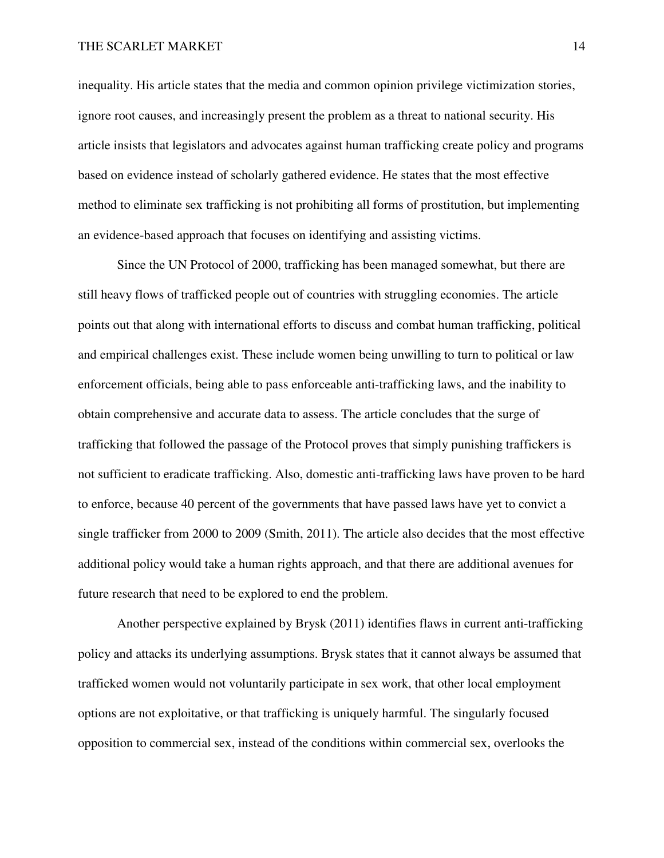#### THE SCARLET MARKET 14

inequality. His article states that the media and common opinion privilege victimization stories, ignore root causes, and increasingly present the problem as a threat to national security. His article insists that legislators and advocates against human trafficking create policy and programs based on evidence instead of scholarly gathered evidence. He states that the most effective method to eliminate sex trafficking is not prohibiting all forms of prostitution, but implementing an evidence-based approach that focuses on identifying and assisting victims.

 Since the UN Protocol of 2000, trafficking has been managed somewhat, but there are still heavy flows of trafficked people out of countries with struggling economies. The article points out that along with international efforts to discuss and combat human trafficking, political and empirical challenges exist. These include women being unwilling to turn to political or law enforcement officials, being able to pass enforceable anti-trafficking laws, and the inability to obtain comprehensive and accurate data to assess. The article concludes that the surge of trafficking that followed the passage of the Protocol proves that simply punishing traffickers is not sufficient to eradicate trafficking. Also, domestic anti-trafficking laws have proven to be hard to enforce, because 40 percent of the governments that have passed laws have yet to convict a single trafficker from 2000 to 2009 (Smith, 2011). The article also decides that the most effective additional policy would take a human rights approach, and that there are additional avenues for future research that need to be explored to end the problem.

 Another perspective explained by Brysk (2011) identifies flaws in current anti-trafficking policy and attacks its underlying assumptions. Brysk states that it cannot always be assumed that trafficked women would not voluntarily participate in sex work, that other local employment options are not exploitative, or that trafficking is uniquely harmful. The singularly focused opposition to commercial sex, instead of the conditions within commercial sex, overlooks the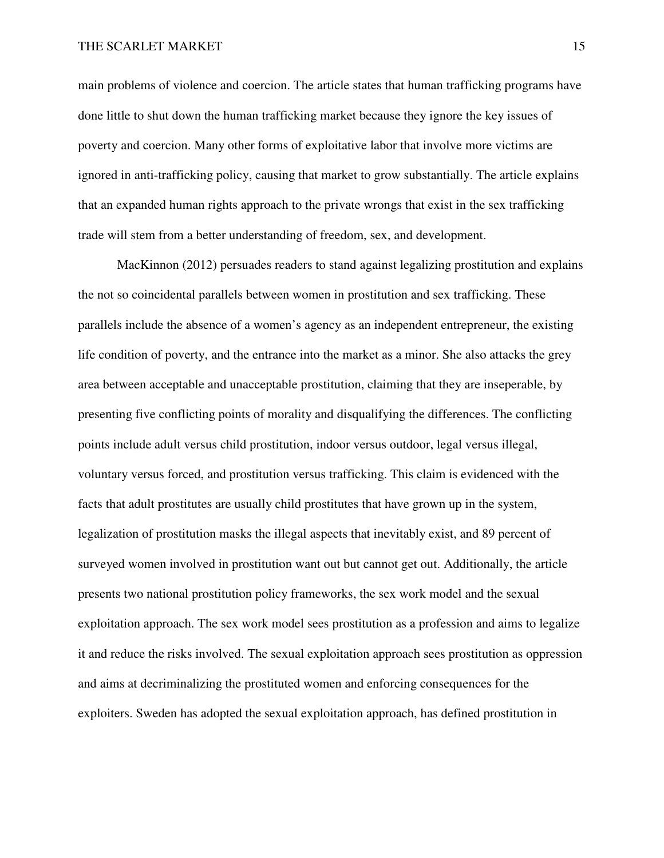main problems of violence and coercion. The article states that human trafficking programs have done little to shut down the human trafficking market because they ignore the key issues of poverty and coercion. Many other forms of exploitative labor that involve more victims are ignored in anti-trafficking policy, causing that market to grow substantially. The article explains that an expanded human rights approach to the private wrongs that exist in the sex trafficking trade will stem from a better understanding of freedom, sex, and development.

 MacKinnon (2012) persuades readers to stand against legalizing prostitution and explains the not so coincidental parallels between women in prostitution and sex trafficking. These parallels include the absence of a women's agency as an independent entrepreneur, the existing life condition of poverty, and the entrance into the market as a minor. She also attacks the grey area between acceptable and unacceptable prostitution, claiming that they are inseperable, by presenting five conflicting points of morality and disqualifying the differences. The conflicting points include adult versus child prostitution, indoor versus outdoor, legal versus illegal, voluntary versus forced, and prostitution versus trafficking. This claim is evidenced with the facts that adult prostitutes are usually child prostitutes that have grown up in the system, legalization of prostitution masks the illegal aspects that inevitably exist, and 89 percent of surveyed women involved in prostitution want out but cannot get out. Additionally, the article presents two national prostitution policy frameworks, the sex work model and the sexual exploitation approach. The sex work model sees prostitution as a profession and aims to legalize it and reduce the risks involved. The sexual exploitation approach sees prostitution as oppression and aims at decriminalizing the prostituted women and enforcing consequences for the exploiters. Sweden has adopted the sexual exploitation approach, has defined prostitution in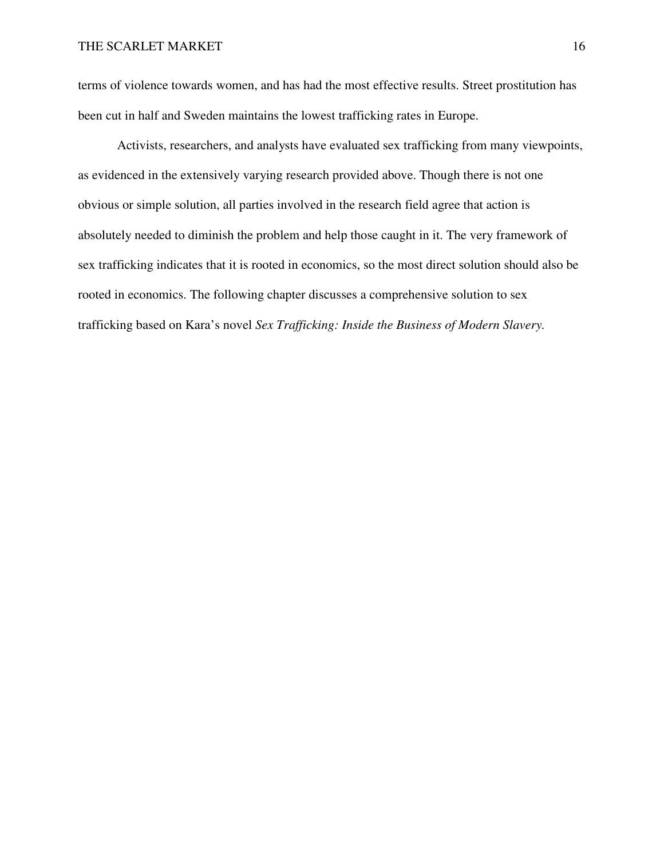terms of violence towards women, and has had the most effective results. Street prostitution has been cut in half and Sweden maintains the lowest trafficking rates in Europe.

 Activists, researchers, and analysts have evaluated sex trafficking from many viewpoints, as evidenced in the extensively varying research provided above. Though there is not one obvious or simple solution, all parties involved in the research field agree that action is absolutely needed to diminish the problem and help those caught in it. The very framework of sex trafficking indicates that it is rooted in economics, so the most direct solution should also be rooted in economics. The following chapter discusses a comprehensive solution to sex trafficking based on Kara's novel *Sex Trafficking: Inside the Business of Modern Slavery.*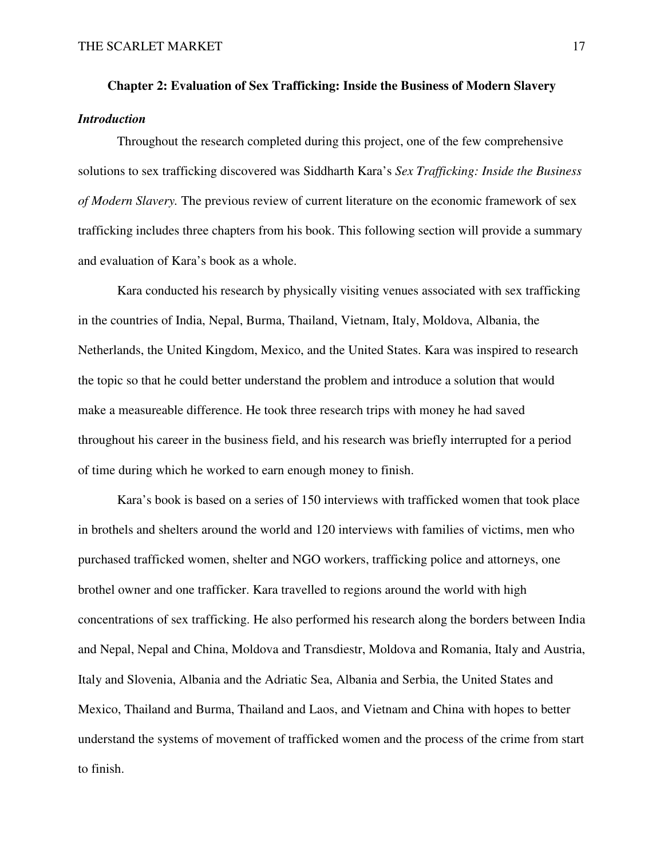# **Chapter 2: Evaluation of Sex Trafficking: Inside the Business of Modern Slavery**  *Introduction*

 Throughout the research completed during this project, one of the few comprehensive solutions to sex trafficking discovered was Siddharth Kara's *Sex Trafficking: Inside the Business of Modern Slavery.* The previous review of current literature on the economic framework of sex trafficking includes three chapters from his book. This following section will provide a summary and evaluation of Kara's book as a whole.

 Kara conducted his research by physically visiting venues associated with sex trafficking in the countries of India, Nepal, Burma, Thailand, Vietnam, Italy, Moldova, Albania, the Netherlands, the United Kingdom, Mexico, and the United States. Kara was inspired to research the topic so that he could better understand the problem and introduce a solution that would make a measureable difference. He took three research trips with money he had saved throughout his career in the business field, and his research was briefly interrupted for a period of time during which he worked to earn enough money to finish.

 Kara's book is based on a series of 150 interviews with trafficked women that took place in brothels and shelters around the world and 120 interviews with families of victims, men who purchased trafficked women, shelter and NGO workers, trafficking police and attorneys, one brothel owner and one trafficker. Kara travelled to regions around the world with high concentrations of sex trafficking. He also performed his research along the borders between India and Nepal, Nepal and China, Moldova and Transdiestr, Moldova and Romania, Italy and Austria, Italy and Slovenia, Albania and the Adriatic Sea, Albania and Serbia, the United States and Mexico, Thailand and Burma, Thailand and Laos, and Vietnam and China with hopes to better understand the systems of movement of trafficked women and the process of the crime from start to finish.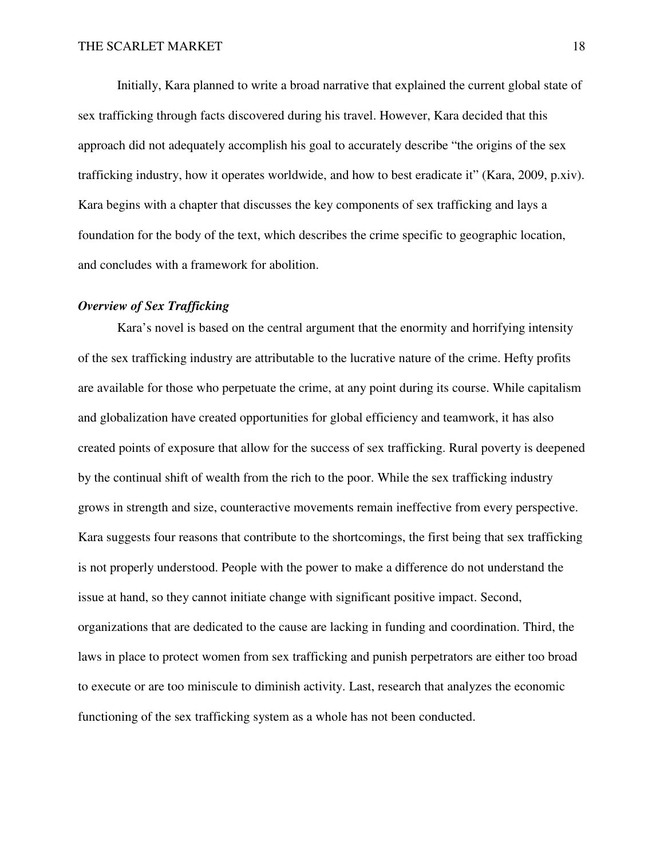Initially, Kara planned to write a broad narrative that explained the current global state of sex trafficking through facts discovered during his travel. However, Kara decided that this approach did not adequately accomplish his goal to accurately describe "the origins of the sex trafficking industry, how it operates worldwide, and how to best eradicate it" (Kara, 2009, p.xiv). Kara begins with a chapter that discusses the key components of sex trafficking and lays a foundation for the body of the text, which describes the crime specific to geographic location, and concludes with a framework for abolition.

# *Overview of Sex Trafficking*

 Kara's novel is based on the central argument that the enormity and horrifying intensity of the sex trafficking industry are attributable to the lucrative nature of the crime. Hefty profits are available for those who perpetuate the crime, at any point during its course. While capitalism and globalization have created opportunities for global efficiency and teamwork, it has also created points of exposure that allow for the success of sex trafficking. Rural poverty is deepened by the continual shift of wealth from the rich to the poor. While the sex trafficking industry grows in strength and size, counteractive movements remain ineffective from every perspective. Kara suggests four reasons that contribute to the shortcomings, the first being that sex trafficking is not properly understood. People with the power to make a difference do not understand the issue at hand, so they cannot initiate change with significant positive impact. Second, organizations that are dedicated to the cause are lacking in funding and coordination. Third, the laws in place to protect women from sex trafficking and punish perpetrators are either too broad to execute or are too miniscule to diminish activity. Last, research that analyzes the economic functioning of the sex trafficking system as a whole has not been conducted.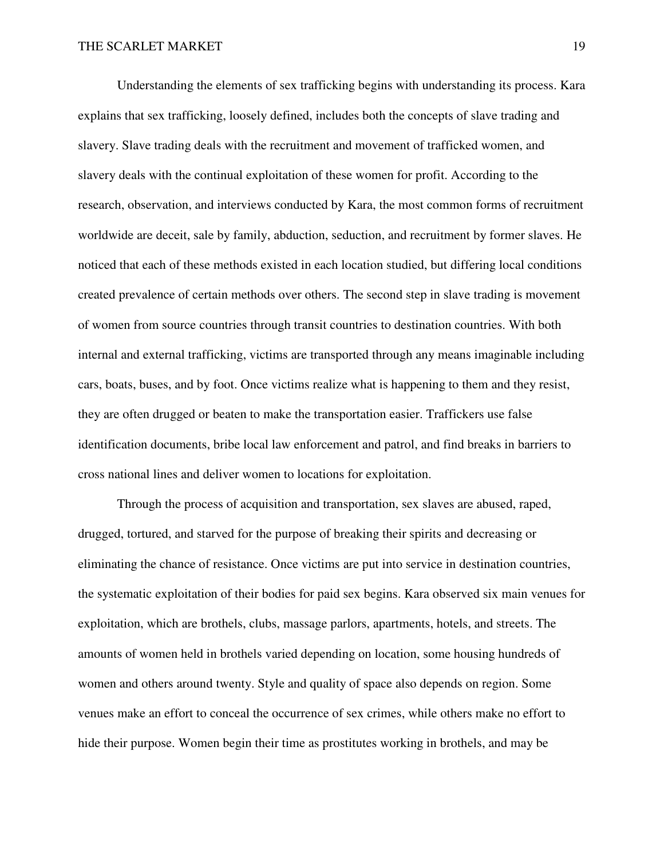Understanding the elements of sex trafficking begins with understanding its process. Kara explains that sex trafficking, loosely defined, includes both the concepts of slave trading and slavery. Slave trading deals with the recruitment and movement of trafficked women, and slavery deals with the continual exploitation of these women for profit. According to the research, observation, and interviews conducted by Kara, the most common forms of recruitment worldwide are deceit, sale by family, abduction, seduction, and recruitment by former slaves. He noticed that each of these methods existed in each location studied, but differing local conditions created prevalence of certain methods over others. The second step in slave trading is movement of women from source countries through transit countries to destination countries. With both internal and external trafficking, victims are transported through any means imaginable including cars, boats, buses, and by foot. Once victims realize what is happening to them and they resist, they are often drugged or beaten to make the transportation easier. Traffickers use false identification documents, bribe local law enforcement and patrol, and find breaks in barriers to cross national lines and deliver women to locations for exploitation.

 Through the process of acquisition and transportation, sex slaves are abused, raped, drugged, tortured, and starved for the purpose of breaking their spirits and decreasing or eliminating the chance of resistance. Once victims are put into service in destination countries, the systematic exploitation of their bodies for paid sex begins. Kara observed six main venues for exploitation, which are brothels, clubs, massage parlors, apartments, hotels, and streets. The amounts of women held in brothels varied depending on location, some housing hundreds of women and others around twenty. Style and quality of space also depends on region. Some venues make an effort to conceal the occurrence of sex crimes, while others make no effort to hide their purpose. Women begin their time as prostitutes working in brothels, and may be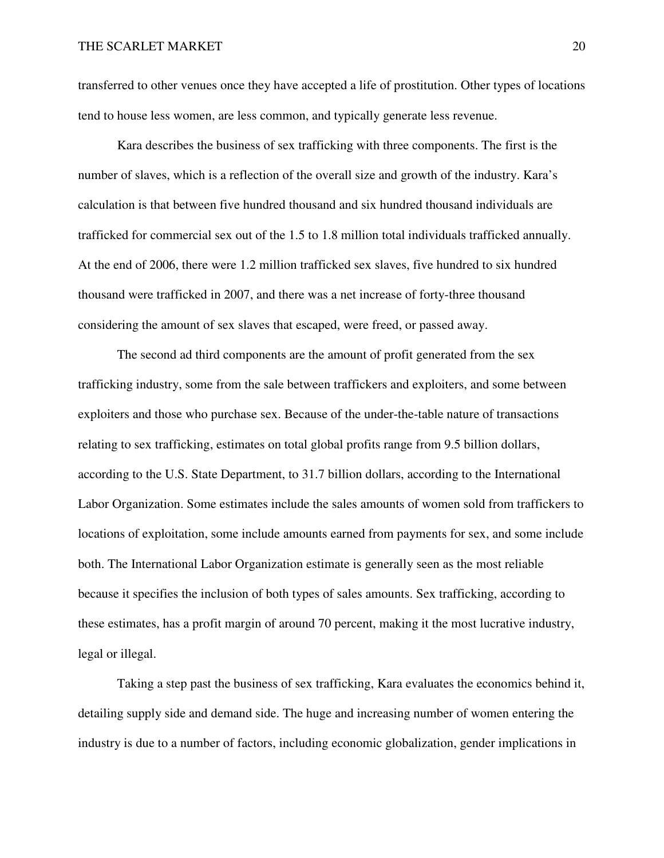transferred to other venues once they have accepted a life of prostitution. Other types of locations tend to house less women, are less common, and typically generate less revenue.

 Kara describes the business of sex trafficking with three components. The first is the number of slaves, which is a reflection of the overall size and growth of the industry. Kara's calculation is that between five hundred thousand and six hundred thousand individuals are trafficked for commercial sex out of the 1.5 to 1.8 million total individuals trafficked annually. At the end of 2006, there were 1.2 million trafficked sex slaves, five hundred to six hundred thousand were trafficked in 2007, and there was a net increase of forty-three thousand considering the amount of sex slaves that escaped, were freed, or passed away.

 The second ad third components are the amount of profit generated from the sex trafficking industry, some from the sale between traffickers and exploiters, and some between exploiters and those who purchase sex. Because of the under-the-table nature of transactions relating to sex trafficking, estimates on total global profits range from 9.5 billion dollars, according to the U.S. State Department, to 31.7 billion dollars, according to the International Labor Organization. Some estimates include the sales amounts of women sold from traffickers to locations of exploitation, some include amounts earned from payments for sex, and some include both. The International Labor Organization estimate is generally seen as the most reliable because it specifies the inclusion of both types of sales amounts. Sex trafficking, according to these estimates, has a profit margin of around 70 percent, making it the most lucrative industry, legal or illegal.

 Taking a step past the business of sex trafficking, Kara evaluates the economics behind it, detailing supply side and demand side. The huge and increasing number of women entering the industry is due to a number of factors, including economic globalization, gender implications in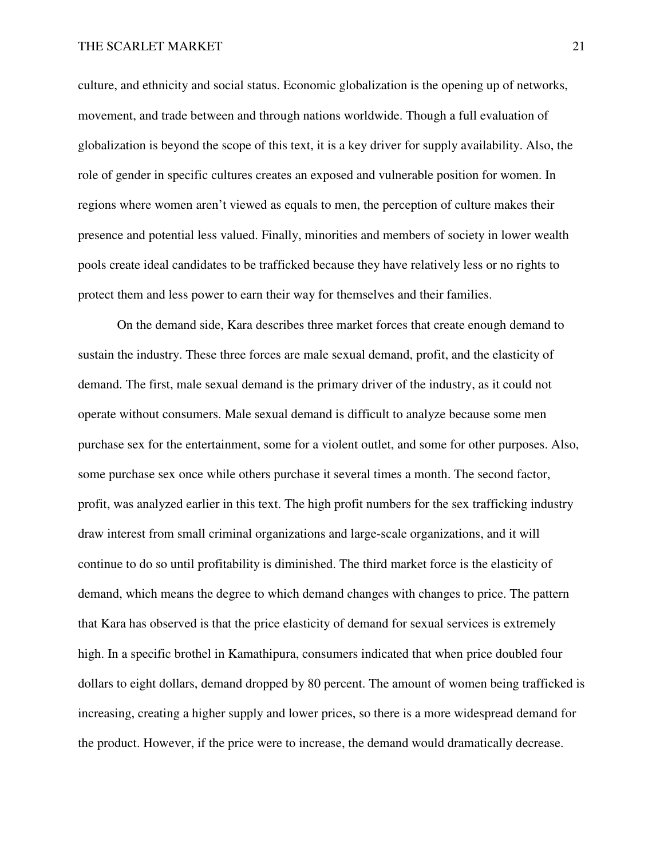culture, and ethnicity and social status. Economic globalization is the opening up of networks, movement, and trade between and through nations worldwide. Though a full evaluation of globalization is beyond the scope of this text, it is a key driver for supply availability. Also, the role of gender in specific cultures creates an exposed and vulnerable position for women. In regions where women aren't viewed as equals to men, the perception of culture makes their presence and potential less valued. Finally, minorities and members of society in lower wealth pools create ideal candidates to be trafficked because they have relatively less or no rights to protect them and less power to earn their way for themselves and their families.

 On the demand side, Kara describes three market forces that create enough demand to sustain the industry. These three forces are male sexual demand, profit, and the elasticity of demand. The first, male sexual demand is the primary driver of the industry, as it could not operate without consumers. Male sexual demand is difficult to analyze because some men purchase sex for the entertainment, some for a violent outlet, and some for other purposes. Also, some purchase sex once while others purchase it several times a month. The second factor, profit, was analyzed earlier in this text. The high profit numbers for the sex trafficking industry draw interest from small criminal organizations and large-scale organizations, and it will continue to do so until profitability is diminished. The third market force is the elasticity of demand, which means the degree to which demand changes with changes to price. The pattern that Kara has observed is that the price elasticity of demand for sexual services is extremely high. In a specific brothel in Kamathipura, consumers indicated that when price doubled four dollars to eight dollars, demand dropped by 80 percent. The amount of women being trafficked is increasing, creating a higher supply and lower prices, so there is a more widespread demand for the product. However, if the price were to increase, the demand would dramatically decrease.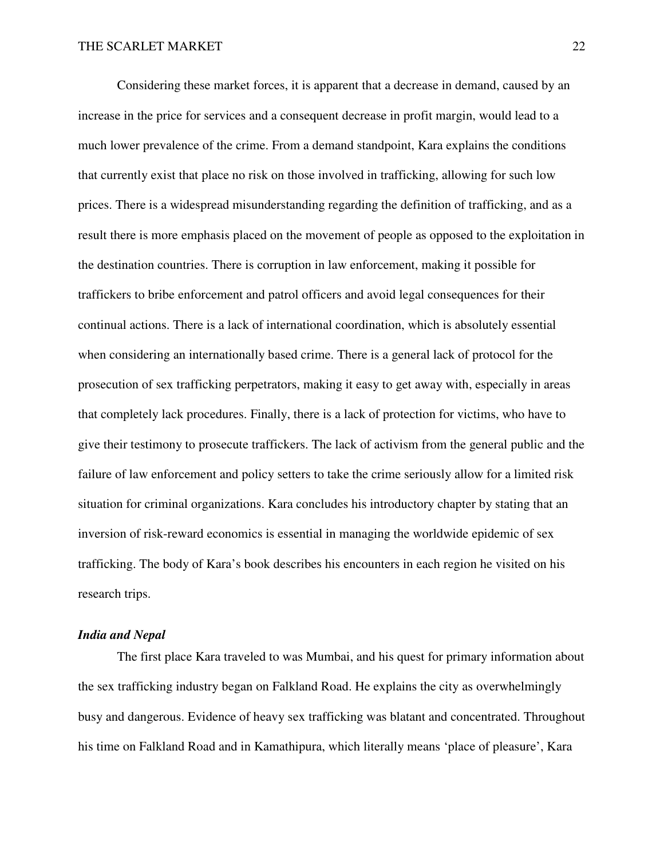Considering these market forces, it is apparent that a decrease in demand, caused by an increase in the price for services and a consequent decrease in profit margin, would lead to a much lower prevalence of the crime. From a demand standpoint, Kara explains the conditions that currently exist that place no risk on those involved in trafficking, allowing for such low prices. There is a widespread misunderstanding regarding the definition of trafficking, and as a result there is more emphasis placed on the movement of people as opposed to the exploitation in the destination countries. There is corruption in law enforcement, making it possible for traffickers to bribe enforcement and patrol officers and avoid legal consequences for their continual actions. There is a lack of international coordination, which is absolutely essential when considering an internationally based crime. There is a general lack of protocol for the prosecution of sex trafficking perpetrators, making it easy to get away with, especially in areas that completely lack procedures. Finally, there is a lack of protection for victims, who have to give their testimony to prosecute traffickers. The lack of activism from the general public and the failure of law enforcement and policy setters to take the crime seriously allow for a limited risk situation for criminal organizations. Kara concludes his introductory chapter by stating that an inversion of risk-reward economics is essential in managing the worldwide epidemic of sex trafficking. The body of Kara's book describes his encounters in each region he visited on his research trips.

#### *India and Nepal*

 The first place Kara traveled to was Mumbai, and his quest for primary information about the sex trafficking industry began on Falkland Road. He explains the city as overwhelmingly busy and dangerous. Evidence of heavy sex trafficking was blatant and concentrated. Throughout his time on Falkland Road and in Kamathipura, which literally means 'place of pleasure', Kara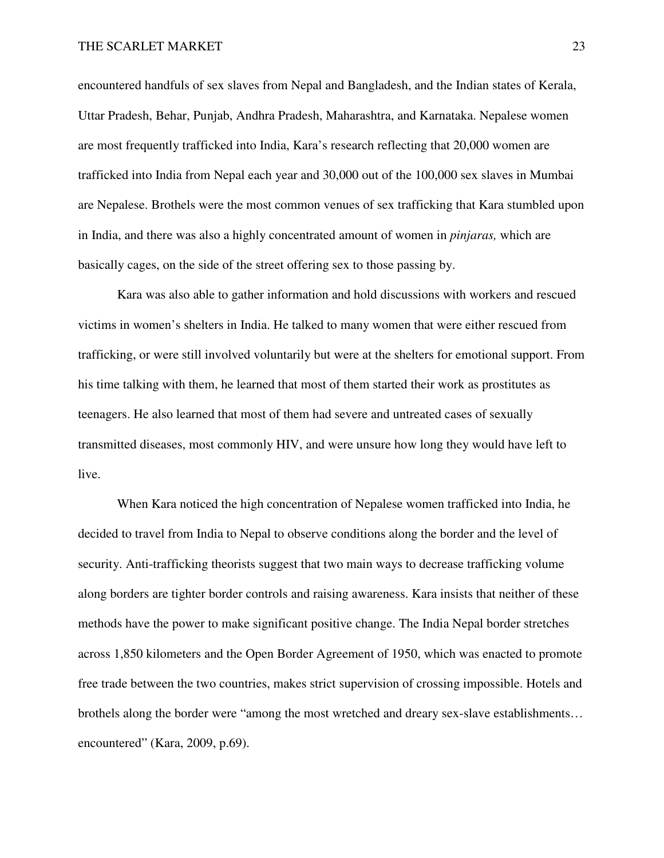encountered handfuls of sex slaves from Nepal and Bangladesh, and the Indian states of Kerala, Uttar Pradesh, Behar, Punjab, Andhra Pradesh, Maharashtra, and Karnataka. Nepalese women are most frequently trafficked into India, Kara's research reflecting that 20,000 women are trafficked into India from Nepal each year and 30,000 out of the 100,000 sex slaves in Mumbai are Nepalese. Brothels were the most common venues of sex trafficking that Kara stumbled upon in India, and there was also a highly concentrated amount of women in *pinjaras,* which are basically cages, on the side of the street offering sex to those passing by.

 Kara was also able to gather information and hold discussions with workers and rescued victims in women's shelters in India. He talked to many women that were either rescued from trafficking, or were still involved voluntarily but were at the shelters for emotional support. From his time talking with them, he learned that most of them started their work as prostitutes as teenagers. He also learned that most of them had severe and untreated cases of sexually transmitted diseases, most commonly HIV, and were unsure how long they would have left to live.

 When Kara noticed the high concentration of Nepalese women trafficked into India, he decided to travel from India to Nepal to observe conditions along the border and the level of security. Anti-trafficking theorists suggest that two main ways to decrease trafficking volume along borders are tighter border controls and raising awareness. Kara insists that neither of these methods have the power to make significant positive change. The India Nepal border stretches across 1,850 kilometers and the Open Border Agreement of 1950, which was enacted to promote free trade between the two countries, makes strict supervision of crossing impossible. Hotels and brothels along the border were "among the most wretched and dreary sex-slave establishments… encountered" (Kara, 2009, p.69).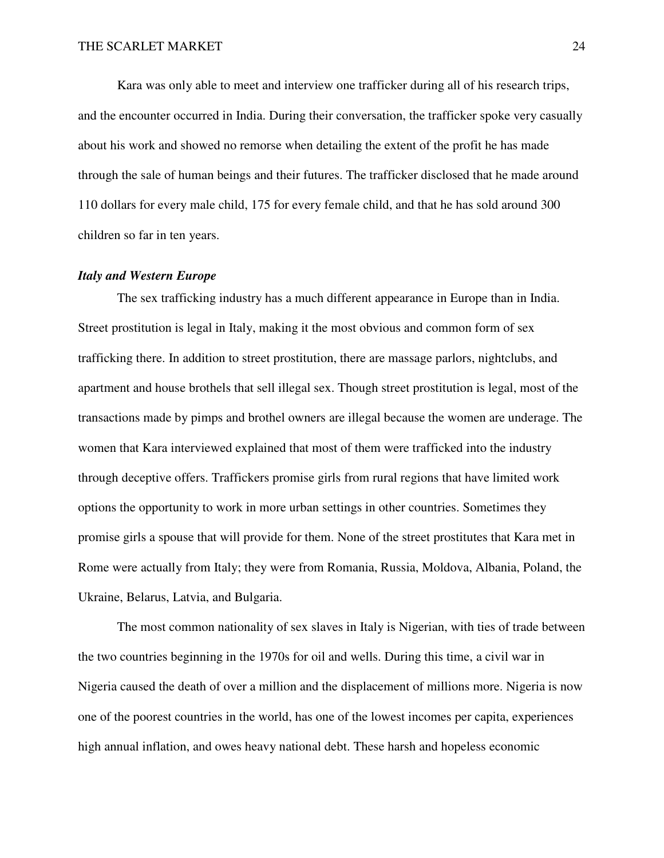Kara was only able to meet and interview one trafficker during all of his research trips, and the encounter occurred in India. During their conversation, the trafficker spoke very casually about his work and showed no remorse when detailing the extent of the profit he has made through the sale of human beings and their futures. The trafficker disclosed that he made around 110 dollars for every male child, 175 for every female child, and that he has sold around 300 children so far in ten years.

## *Italy and Western Europe*

The sex trafficking industry has a much different appearance in Europe than in India. Street prostitution is legal in Italy, making it the most obvious and common form of sex trafficking there. In addition to street prostitution, there are massage parlors, nightclubs, and apartment and house brothels that sell illegal sex. Though street prostitution is legal, most of the transactions made by pimps and brothel owners are illegal because the women are underage. The women that Kara interviewed explained that most of them were trafficked into the industry through deceptive offers. Traffickers promise girls from rural regions that have limited work options the opportunity to work in more urban settings in other countries. Sometimes they promise girls a spouse that will provide for them. None of the street prostitutes that Kara met in Rome were actually from Italy; they were from Romania, Russia, Moldova, Albania, Poland, the Ukraine, Belarus, Latvia, and Bulgaria.

 The most common nationality of sex slaves in Italy is Nigerian, with ties of trade between the two countries beginning in the 1970s for oil and wells. During this time, a civil war in Nigeria caused the death of over a million and the displacement of millions more. Nigeria is now one of the poorest countries in the world, has one of the lowest incomes per capita, experiences high annual inflation, and owes heavy national debt. These harsh and hopeless economic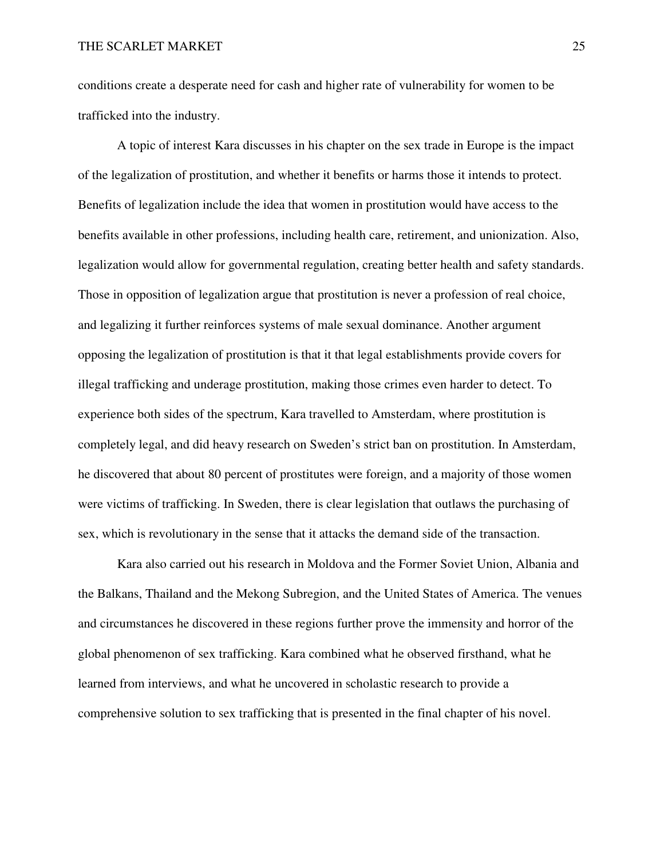conditions create a desperate need for cash and higher rate of vulnerability for women to be trafficked into the industry.

 A topic of interest Kara discusses in his chapter on the sex trade in Europe is the impact of the legalization of prostitution, and whether it benefits or harms those it intends to protect. Benefits of legalization include the idea that women in prostitution would have access to the benefits available in other professions, including health care, retirement, and unionization. Also, legalization would allow for governmental regulation, creating better health and safety standards. Those in opposition of legalization argue that prostitution is never a profession of real choice, and legalizing it further reinforces systems of male sexual dominance. Another argument opposing the legalization of prostitution is that it that legal establishments provide covers for illegal trafficking and underage prostitution, making those crimes even harder to detect. To experience both sides of the spectrum, Kara travelled to Amsterdam, where prostitution is completely legal, and did heavy research on Sweden's strict ban on prostitution. In Amsterdam, he discovered that about 80 percent of prostitutes were foreign, and a majority of those women were victims of trafficking. In Sweden, there is clear legislation that outlaws the purchasing of sex, which is revolutionary in the sense that it attacks the demand side of the transaction.

 Kara also carried out his research in Moldova and the Former Soviet Union, Albania and the Balkans, Thailand and the Mekong Subregion, and the United States of America. The venues and circumstances he discovered in these regions further prove the immensity and horror of the global phenomenon of sex trafficking. Kara combined what he observed firsthand, what he learned from interviews, and what he uncovered in scholastic research to provide a comprehensive solution to sex trafficking that is presented in the final chapter of his novel.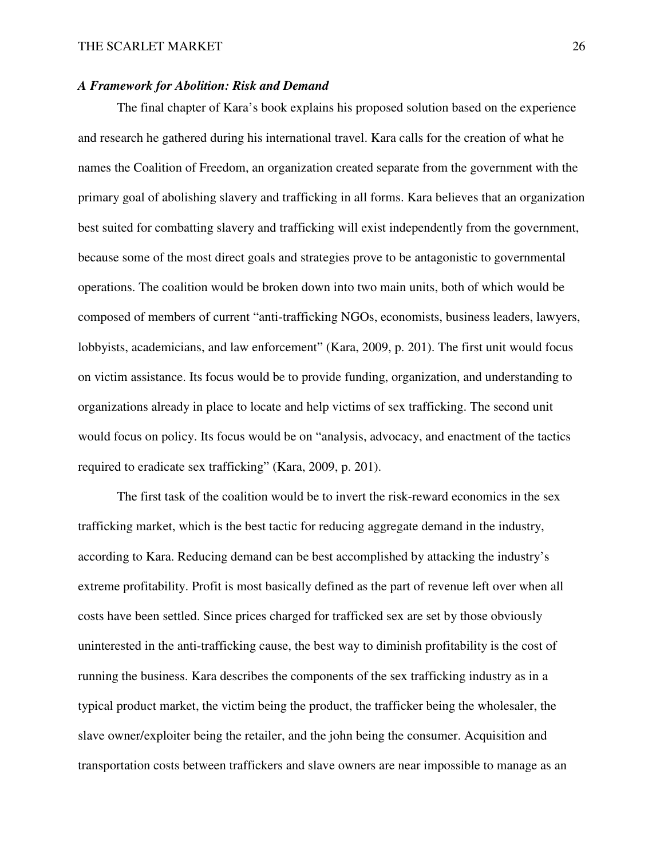#### *A Framework for Abolition: Risk and Demand*

 The final chapter of Kara's book explains his proposed solution based on the experience and research he gathered during his international travel. Kara calls for the creation of what he names the Coalition of Freedom, an organization created separate from the government with the primary goal of abolishing slavery and trafficking in all forms. Kara believes that an organization best suited for combatting slavery and trafficking will exist independently from the government, because some of the most direct goals and strategies prove to be antagonistic to governmental operations. The coalition would be broken down into two main units, both of which would be composed of members of current "anti-trafficking NGOs, economists, business leaders, lawyers, lobbyists, academicians, and law enforcement" (Kara, 2009, p. 201). The first unit would focus on victim assistance. Its focus would be to provide funding, organization, and understanding to organizations already in place to locate and help victims of sex trafficking. The second unit would focus on policy. Its focus would be on "analysis, advocacy, and enactment of the tactics required to eradicate sex trafficking" (Kara, 2009, p. 201).

 The first task of the coalition would be to invert the risk-reward economics in the sex trafficking market, which is the best tactic for reducing aggregate demand in the industry, according to Kara. Reducing demand can be best accomplished by attacking the industry's extreme profitability. Profit is most basically defined as the part of revenue left over when all costs have been settled. Since prices charged for trafficked sex are set by those obviously uninterested in the anti-trafficking cause, the best way to diminish profitability is the cost of running the business. Kara describes the components of the sex trafficking industry as in a typical product market, the victim being the product, the trafficker being the wholesaler, the slave owner/exploiter being the retailer, and the john being the consumer. Acquisition and transportation costs between traffickers and slave owners are near impossible to manage as an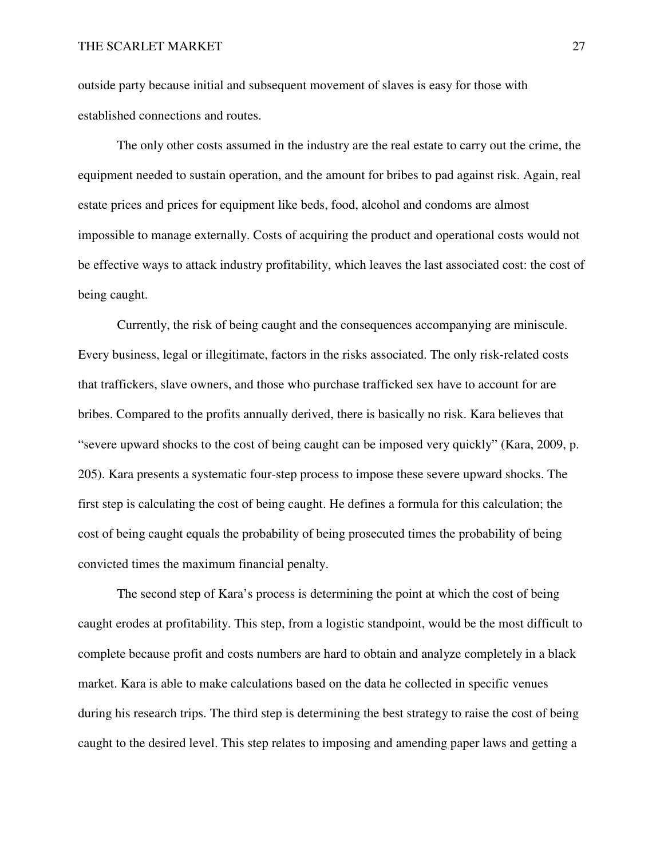outside party because initial and subsequent movement of slaves is easy for those with established connections and routes.

 The only other costs assumed in the industry are the real estate to carry out the crime, the equipment needed to sustain operation, and the amount for bribes to pad against risk. Again, real estate prices and prices for equipment like beds, food, alcohol and condoms are almost impossible to manage externally. Costs of acquiring the product and operational costs would not be effective ways to attack industry profitability, which leaves the last associated cost: the cost of being caught.

 Currently, the risk of being caught and the consequences accompanying are miniscule. Every business, legal or illegitimate, factors in the risks associated. The only risk-related costs that traffickers, slave owners, and those who purchase trafficked sex have to account for are bribes. Compared to the profits annually derived, there is basically no risk. Kara believes that "severe upward shocks to the cost of being caught can be imposed very quickly" (Kara, 2009, p. 205). Kara presents a systematic four-step process to impose these severe upward shocks. The first step is calculating the cost of being caught. He defines a formula for this calculation; the cost of being caught equals the probability of being prosecuted times the probability of being convicted times the maximum financial penalty.

 The second step of Kara's process is determining the point at which the cost of being caught erodes at profitability. This step, from a logistic standpoint, would be the most difficult to complete because profit and costs numbers are hard to obtain and analyze completely in a black market. Kara is able to make calculations based on the data he collected in specific venues during his research trips. The third step is determining the best strategy to raise the cost of being caught to the desired level. This step relates to imposing and amending paper laws and getting a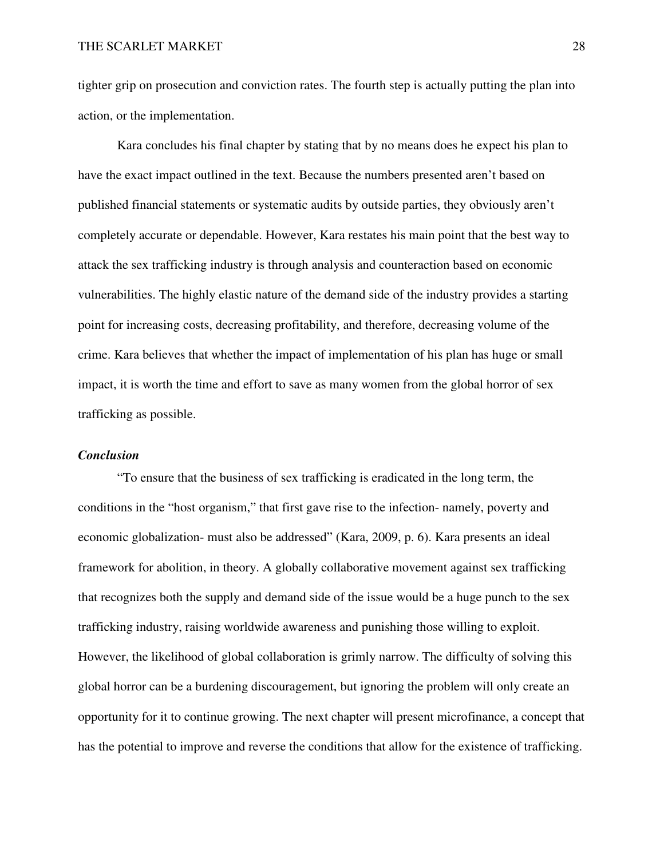tighter grip on prosecution and conviction rates. The fourth step is actually putting the plan into action, or the implementation.

 Kara concludes his final chapter by stating that by no means does he expect his plan to have the exact impact outlined in the text. Because the numbers presented aren't based on published financial statements or systematic audits by outside parties, they obviously aren't completely accurate or dependable. However, Kara restates his main point that the best way to attack the sex trafficking industry is through analysis and counteraction based on economic vulnerabilities. The highly elastic nature of the demand side of the industry provides a starting point for increasing costs, decreasing profitability, and therefore, decreasing volume of the crime. Kara believes that whether the impact of implementation of his plan has huge or small impact, it is worth the time and effort to save as many women from the global horror of sex trafficking as possible.

#### *Conclusion*

 "To ensure that the business of sex trafficking is eradicated in the long term, the conditions in the "host organism," that first gave rise to the infection- namely, poverty and economic globalization- must also be addressed" (Kara, 2009, p. 6). Kara presents an ideal framework for abolition, in theory. A globally collaborative movement against sex trafficking that recognizes both the supply and demand side of the issue would be a huge punch to the sex trafficking industry, raising worldwide awareness and punishing those willing to exploit. However, the likelihood of global collaboration is grimly narrow. The difficulty of solving this global horror can be a burdening discouragement, but ignoring the problem will only create an opportunity for it to continue growing. The next chapter will present microfinance, a concept that has the potential to improve and reverse the conditions that allow for the existence of trafficking.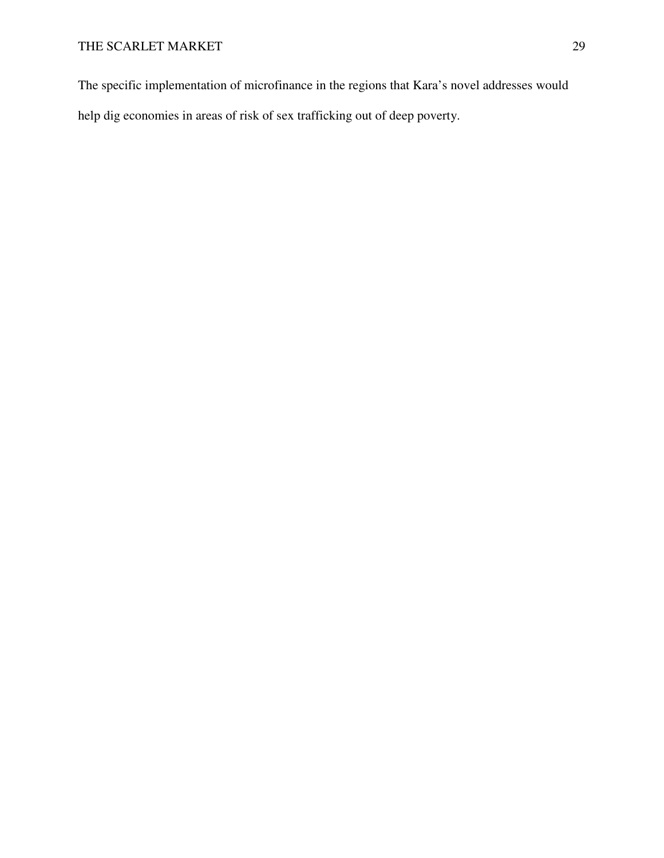The specific implementation of microfinance in the regions that Kara's novel addresses would

help dig economies in areas of risk of sex trafficking out of deep poverty.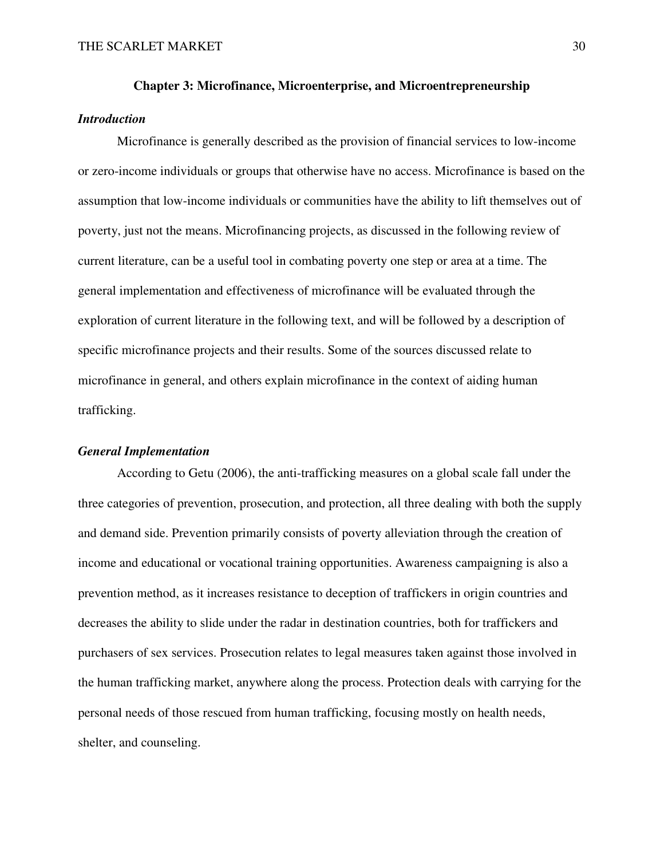# **Chapter 3: Microfinance, Microenterprise, and Microentrepreneurship**

# *Introduction*

 Microfinance is generally described as the provision of financial services to low-income or zero-income individuals or groups that otherwise have no access. Microfinance is based on the assumption that low-income individuals or communities have the ability to lift themselves out of poverty, just not the means. Microfinancing projects, as discussed in the following review of current literature, can be a useful tool in combating poverty one step or area at a time. The general implementation and effectiveness of microfinance will be evaluated through the exploration of current literature in the following text, and will be followed by a description of specific microfinance projects and their results. Some of the sources discussed relate to microfinance in general, and others explain microfinance in the context of aiding human trafficking.

#### *General Implementation*

 According to Getu (2006), the anti-trafficking measures on a global scale fall under the three categories of prevention, prosecution, and protection, all three dealing with both the supply and demand side. Prevention primarily consists of poverty alleviation through the creation of income and educational or vocational training opportunities. Awareness campaigning is also a prevention method, as it increases resistance to deception of traffickers in origin countries and decreases the ability to slide under the radar in destination countries, both for traffickers and purchasers of sex services. Prosecution relates to legal measures taken against those involved in the human trafficking market, anywhere along the process. Protection deals with carrying for the personal needs of those rescued from human trafficking, focusing mostly on health needs, shelter, and counseling.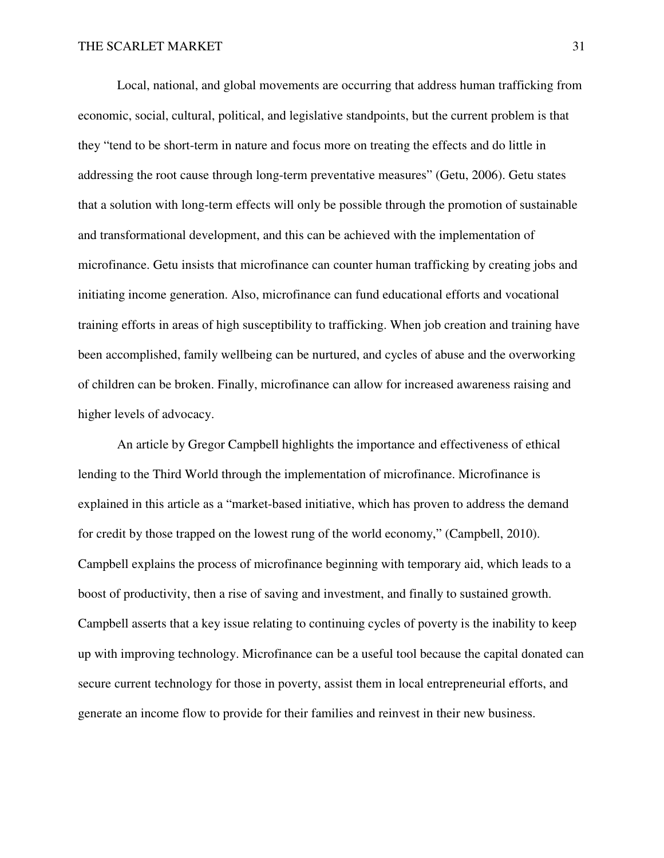Local, national, and global movements are occurring that address human trafficking from economic, social, cultural, political, and legislative standpoints, but the current problem is that they "tend to be short-term in nature and focus more on treating the effects and do little in addressing the root cause through long-term preventative measures" (Getu, 2006). Getu states that a solution with long-term effects will only be possible through the promotion of sustainable and transformational development, and this can be achieved with the implementation of microfinance. Getu insists that microfinance can counter human trafficking by creating jobs and initiating income generation. Also, microfinance can fund educational efforts and vocational training efforts in areas of high susceptibility to trafficking. When job creation and training have been accomplished, family wellbeing can be nurtured, and cycles of abuse and the overworking of children can be broken. Finally, microfinance can allow for increased awareness raising and higher levels of advocacy.

 An article by Gregor Campbell highlights the importance and effectiveness of ethical lending to the Third World through the implementation of microfinance. Microfinance is explained in this article as a "market-based initiative, which has proven to address the demand for credit by those trapped on the lowest rung of the world economy," (Campbell, 2010). Campbell explains the process of microfinance beginning with temporary aid, which leads to a boost of productivity, then a rise of saving and investment, and finally to sustained growth. Campbell asserts that a key issue relating to continuing cycles of poverty is the inability to keep up with improving technology. Microfinance can be a useful tool because the capital donated can secure current technology for those in poverty, assist them in local entrepreneurial efforts, and generate an income flow to provide for their families and reinvest in their new business.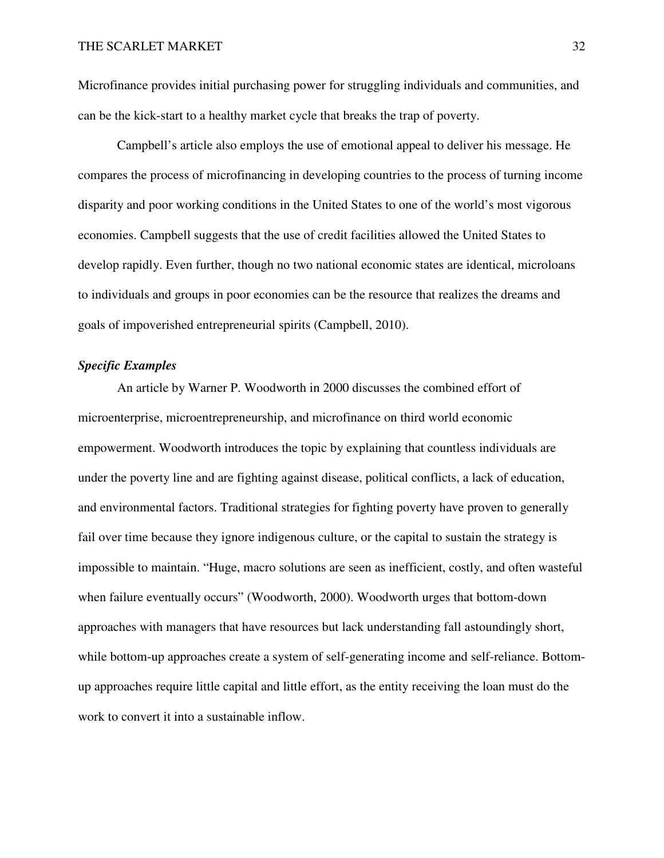Microfinance provides initial purchasing power for struggling individuals and communities, and can be the kick-start to a healthy market cycle that breaks the trap of poverty.

 Campbell's article also employs the use of emotional appeal to deliver his message. He compares the process of microfinancing in developing countries to the process of turning income disparity and poor working conditions in the United States to one of the world's most vigorous economies. Campbell suggests that the use of credit facilities allowed the United States to develop rapidly. Even further, though no two national economic states are identical, microloans to individuals and groups in poor economies can be the resource that realizes the dreams and goals of impoverished entrepreneurial spirits (Campbell, 2010).

# *Specific Examples*

 An article by Warner P. Woodworth in 2000 discusses the combined effort of microenterprise, microentrepreneurship, and microfinance on third world economic empowerment. Woodworth introduces the topic by explaining that countless individuals are under the poverty line and are fighting against disease, political conflicts, a lack of education, and environmental factors. Traditional strategies for fighting poverty have proven to generally fail over time because they ignore indigenous culture, or the capital to sustain the strategy is impossible to maintain. "Huge, macro solutions are seen as inefficient, costly, and often wasteful when failure eventually occurs" (Woodworth, 2000). Woodworth urges that bottom-down approaches with managers that have resources but lack understanding fall astoundingly short, while bottom-up approaches create a system of self-generating income and self-reliance. Bottomup approaches require little capital and little effort, as the entity receiving the loan must do the work to convert it into a sustainable inflow.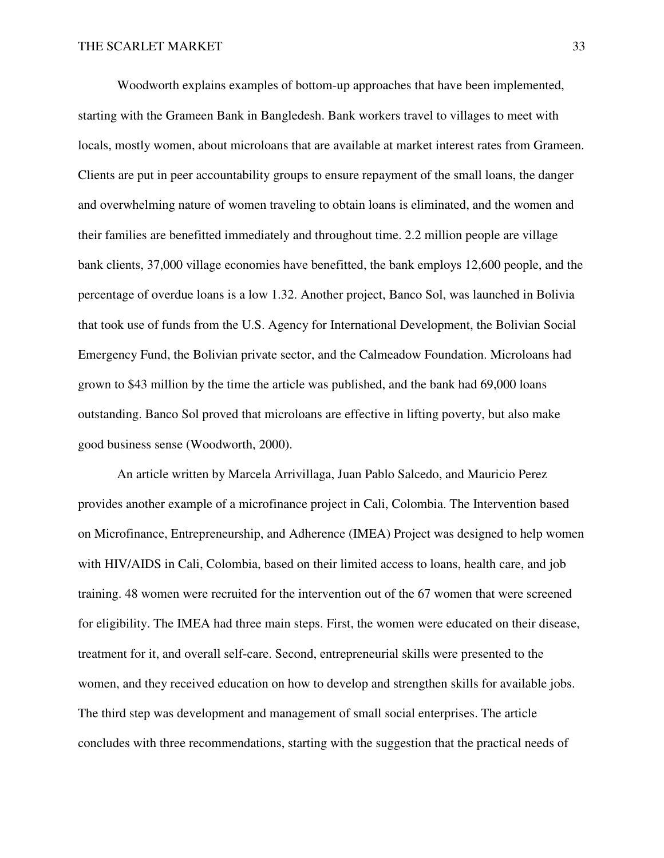Woodworth explains examples of bottom-up approaches that have been implemented, starting with the Grameen Bank in Bangledesh. Bank workers travel to villages to meet with locals, mostly women, about microloans that are available at market interest rates from Grameen. Clients are put in peer accountability groups to ensure repayment of the small loans, the danger and overwhelming nature of women traveling to obtain loans is eliminated, and the women and their families are benefitted immediately and throughout time. 2.2 million people are village bank clients, 37,000 village economies have benefitted, the bank employs 12,600 people, and the percentage of overdue loans is a low 1.32. Another project, Banco Sol, was launched in Bolivia that took use of funds from the U.S. Agency for International Development, the Bolivian Social Emergency Fund, the Bolivian private sector, and the Calmeadow Foundation. Microloans had grown to \$43 million by the time the article was published, and the bank had 69,000 loans outstanding. Banco Sol proved that microloans are effective in lifting poverty, but also make good business sense (Woodworth, 2000).

 An article written by Marcela Arrivillaga, Juan Pablo Salcedo, and Mauricio Perez provides another example of a microfinance project in Cali, Colombia. The Intervention based on Microfinance, Entrepreneurship, and Adherence (IMEA) Project was designed to help women with HIV/AIDS in Cali, Colombia, based on their limited access to loans, health care, and job training. 48 women were recruited for the intervention out of the 67 women that were screened for eligibility. The IMEA had three main steps. First, the women were educated on their disease, treatment for it, and overall self-care. Second, entrepreneurial skills were presented to the women, and they received education on how to develop and strengthen skills for available jobs. The third step was development and management of small social enterprises. The article concludes with three recommendations, starting with the suggestion that the practical needs of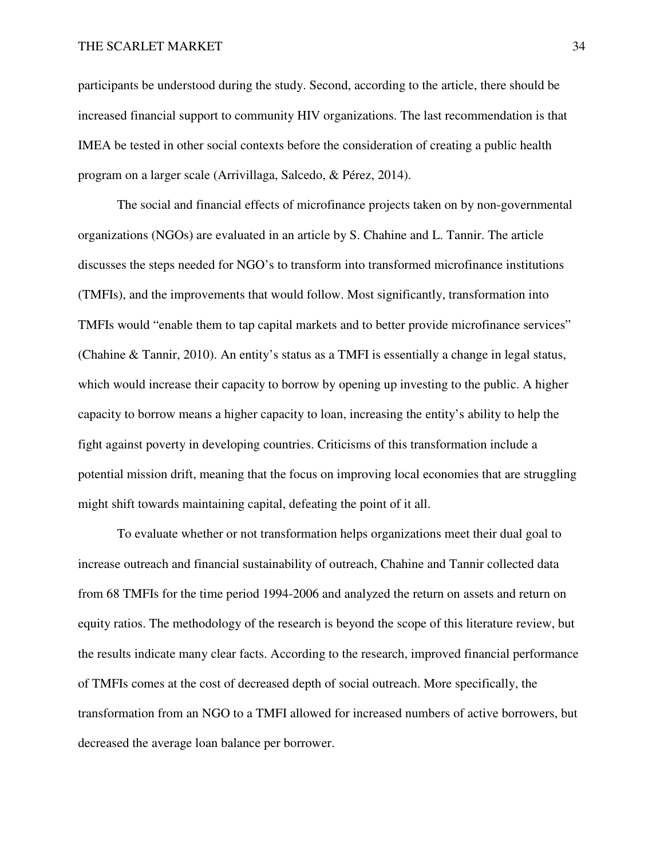participants be understood during the study. Second, according to the article, there should be increased financial support to community HIV organizations. The last recommendation is that IMEA be tested in other social contexts before the consideration of creating a public health program on a larger scale (Arrivillaga, Salcedo, & Pérez, 2014).

 The social and financial effects of microfinance projects taken on by non-governmental organizations (NGOs) are evaluated in an article by S. Chahine and L. Tannir. The article discusses the steps needed for NGO's to transform into transformed microfinance institutions (TMFIs), and the improvements that would follow. Most significantly, transformation into TMFIs would "enable them to tap capital markets and to better provide microfinance services" (Chahine & Tannir, 2010). An entity's status as a TMFI is essentially a change in legal status, which would increase their capacity to borrow by opening up investing to the public. A higher capacity to borrow means a higher capacity to loan, increasing the entity's ability to help the fight against poverty in developing countries. Criticisms of this transformation include a potential mission drift, meaning that the focus on improving local economies that are struggling might shift towards maintaining capital, defeating the point of it all.

 To evaluate whether or not transformation helps organizations meet their dual goal to increase outreach and financial sustainability of outreach, Chahine and Tannir collected data from 68 TMFIs for the time period 1994-2006 and analyzed the return on assets and return on equity ratios. The methodology of the research is beyond the scope of this literature review, but the results indicate many clear facts. According to the research, improved financial performance of TMFIs comes at the cost of decreased depth of social outreach. More specifically, the transformation from an NGO to a TMFI allowed for increased numbers of active borrowers, but decreased the average loan balance per borrower.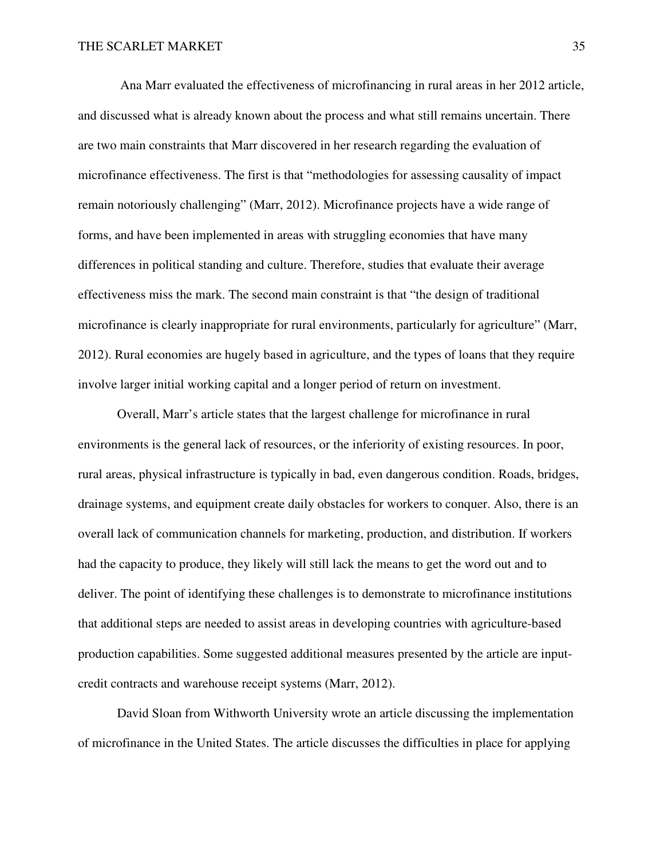Ana Marr evaluated the effectiveness of microfinancing in rural areas in her 2012 article, and discussed what is already known about the process and what still remains uncertain. There are two main constraints that Marr discovered in her research regarding the evaluation of microfinance effectiveness. The first is that "methodologies for assessing causality of impact remain notoriously challenging" (Marr, 2012). Microfinance projects have a wide range of forms, and have been implemented in areas with struggling economies that have many differences in political standing and culture. Therefore, studies that evaluate their average effectiveness miss the mark. The second main constraint is that "the design of traditional microfinance is clearly inappropriate for rural environments, particularly for agriculture" (Marr, 2012). Rural economies are hugely based in agriculture, and the types of loans that they require involve larger initial working capital and a longer period of return on investment.

 Overall, Marr's article states that the largest challenge for microfinance in rural environments is the general lack of resources, or the inferiority of existing resources. In poor, rural areas, physical infrastructure is typically in bad, even dangerous condition. Roads, bridges, drainage systems, and equipment create daily obstacles for workers to conquer. Also, there is an overall lack of communication channels for marketing, production, and distribution. If workers had the capacity to produce, they likely will still lack the means to get the word out and to deliver. The point of identifying these challenges is to demonstrate to microfinance institutions that additional steps are needed to assist areas in developing countries with agriculture-based production capabilities. Some suggested additional measures presented by the article are inputcredit contracts and warehouse receipt systems (Marr, 2012).

 David Sloan from Withworth University wrote an article discussing the implementation of microfinance in the United States. The article discusses the difficulties in place for applying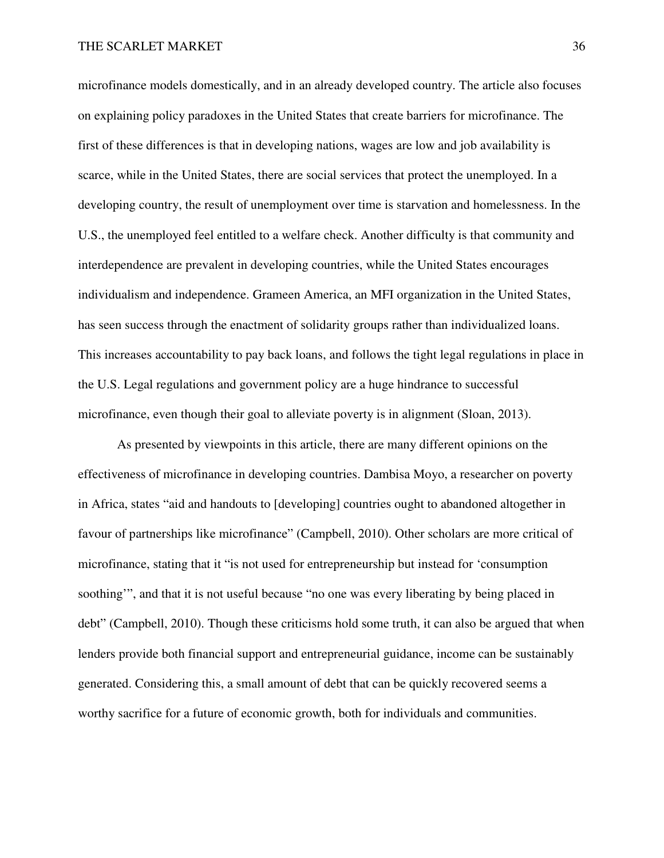microfinance models domestically, and in an already developed country. The article also focuses on explaining policy paradoxes in the United States that create barriers for microfinance. The first of these differences is that in developing nations, wages are low and job availability is scarce, while in the United States, there are social services that protect the unemployed. In a developing country, the result of unemployment over time is starvation and homelessness. In the U.S., the unemployed feel entitled to a welfare check. Another difficulty is that community and interdependence are prevalent in developing countries, while the United States encourages individualism and independence. Grameen America, an MFI organization in the United States, has seen success through the enactment of solidarity groups rather than individualized loans. This increases accountability to pay back loans, and follows the tight legal regulations in place in the U.S. Legal regulations and government policy are a huge hindrance to successful microfinance, even though their goal to alleviate poverty is in alignment (Sloan, 2013).

 As presented by viewpoints in this article, there are many different opinions on the effectiveness of microfinance in developing countries. Dambisa Moyo, a researcher on poverty in Africa, states "aid and handouts to [developing] countries ought to abandoned altogether in favour of partnerships like microfinance" (Campbell, 2010). Other scholars are more critical of microfinance, stating that it "is not used for entrepreneurship but instead for 'consumption soothing", and that it is not useful because "no one was every liberating by being placed in debt" (Campbell, 2010). Though these criticisms hold some truth, it can also be argued that when lenders provide both financial support and entrepreneurial guidance, income can be sustainably generated. Considering this, a small amount of debt that can be quickly recovered seems a worthy sacrifice for a future of economic growth, both for individuals and communities.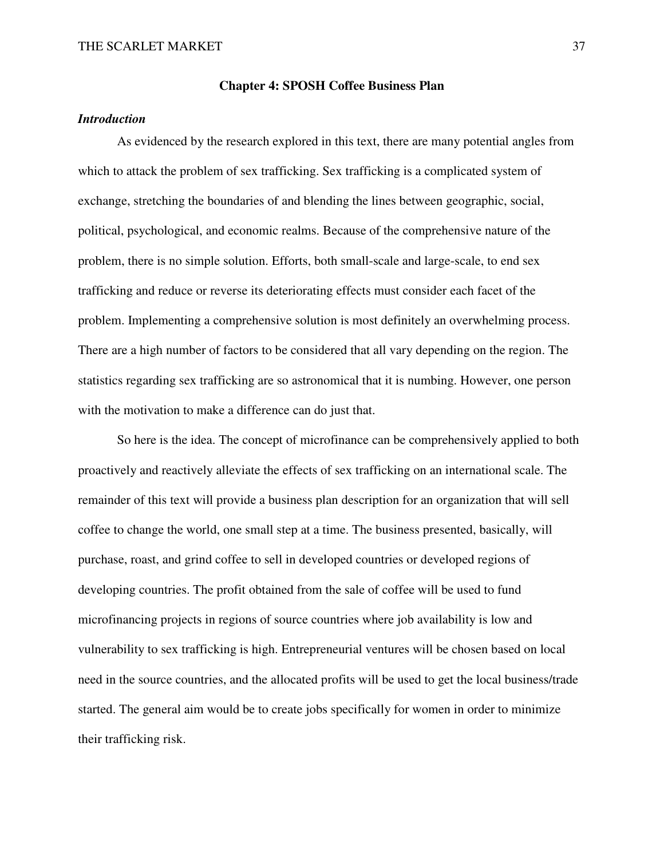#### **Chapter 4: SPOSH Coffee Business Plan**

# *Introduction*

 As evidenced by the research explored in this text, there are many potential angles from which to attack the problem of sex trafficking. Sex trafficking is a complicated system of exchange, stretching the boundaries of and blending the lines between geographic, social, political, psychological, and economic realms. Because of the comprehensive nature of the problem, there is no simple solution. Efforts, both small-scale and large-scale, to end sex trafficking and reduce or reverse its deteriorating effects must consider each facet of the problem. Implementing a comprehensive solution is most definitely an overwhelming process. There are a high number of factors to be considered that all vary depending on the region. The statistics regarding sex trafficking are so astronomical that it is numbing. However, one person with the motivation to make a difference can do just that.

 So here is the idea. The concept of microfinance can be comprehensively applied to both proactively and reactively alleviate the effects of sex trafficking on an international scale. The remainder of this text will provide a business plan description for an organization that will sell coffee to change the world, one small step at a time. The business presented, basically, will purchase, roast, and grind coffee to sell in developed countries or developed regions of developing countries. The profit obtained from the sale of coffee will be used to fund microfinancing projects in regions of source countries where job availability is low and vulnerability to sex trafficking is high. Entrepreneurial ventures will be chosen based on local need in the source countries, and the allocated profits will be used to get the local business/trade started. The general aim would be to create jobs specifically for women in order to minimize their trafficking risk.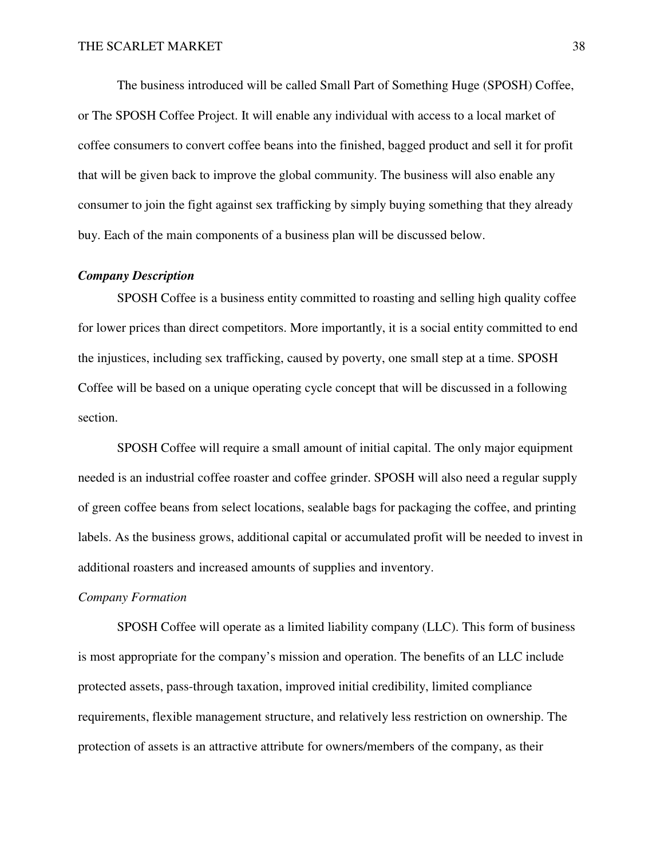The business introduced will be called Small Part of Something Huge (SPOSH) Coffee, or The SPOSH Coffee Project. It will enable any individual with access to a local market of coffee consumers to convert coffee beans into the finished, bagged product and sell it for profit that will be given back to improve the global community. The business will also enable any consumer to join the fight against sex trafficking by simply buying something that they already buy. Each of the main components of a business plan will be discussed below.

### *Company Description*

 SPOSH Coffee is a business entity committed to roasting and selling high quality coffee for lower prices than direct competitors. More importantly, it is a social entity committed to end the injustices, including sex trafficking, caused by poverty, one small step at a time. SPOSH Coffee will be based on a unique operating cycle concept that will be discussed in a following section.

 SPOSH Coffee will require a small amount of initial capital. The only major equipment needed is an industrial coffee roaster and coffee grinder. SPOSH will also need a regular supply of green coffee beans from select locations, sealable bags for packaging the coffee, and printing labels. As the business grows, additional capital or accumulated profit will be needed to invest in additional roasters and increased amounts of supplies and inventory.

#### *Company Formation*

 SPOSH Coffee will operate as a limited liability company (LLC). This form of business is most appropriate for the company's mission and operation. The benefits of an LLC include protected assets, pass-through taxation, improved initial credibility, limited compliance requirements, flexible management structure, and relatively less restriction on ownership. The protection of assets is an attractive attribute for owners/members of the company, as their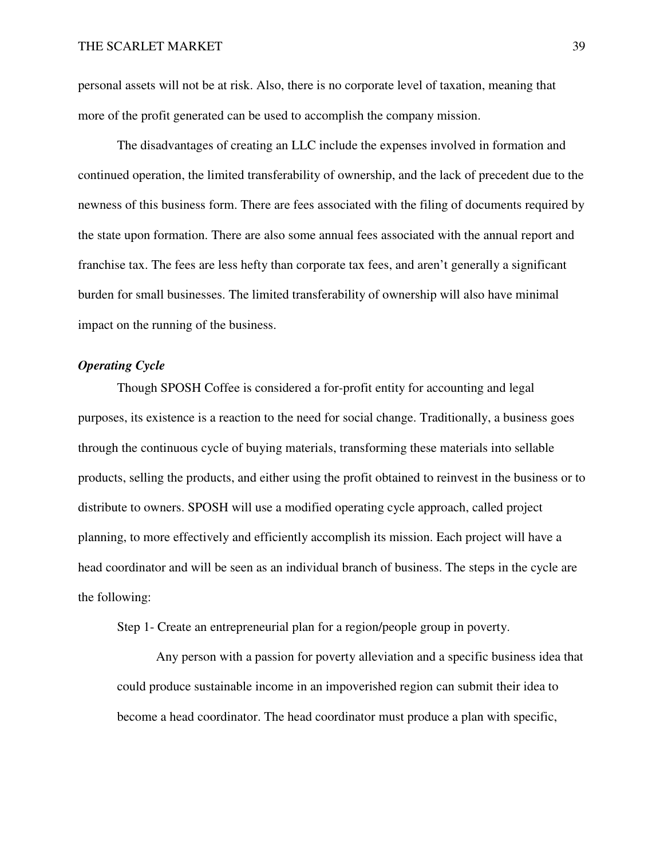personal assets will not be at risk. Also, there is no corporate level of taxation, meaning that more of the profit generated can be used to accomplish the company mission.

 The disadvantages of creating an LLC include the expenses involved in formation and continued operation, the limited transferability of ownership, and the lack of precedent due to the newness of this business form. There are fees associated with the filing of documents required by the state upon formation. There are also some annual fees associated with the annual report and franchise tax. The fees are less hefty than corporate tax fees, and aren't generally a significant burden for small businesses. The limited transferability of ownership will also have minimal impact on the running of the business.

### *Operating Cycle*

 Though SPOSH Coffee is considered a for-profit entity for accounting and legal purposes, its existence is a reaction to the need for social change. Traditionally, a business goes through the continuous cycle of buying materials, transforming these materials into sellable products, selling the products, and either using the profit obtained to reinvest in the business or to distribute to owners. SPOSH will use a modified operating cycle approach, called project planning, to more effectively and efficiently accomplish its mission. Each project will have a head coordinator and will be seen as an individual branch of business. The steps in the cycle are the following:

Step 1- Create an entrepreneurial plan for a region/people group in poverty.

 Any person with a passion for poverty alleviation and a specific business idea that could produce sustainable income in an impoverished region can submit their idea to become a head coordinator. The head coordinator must produce a plan with specific,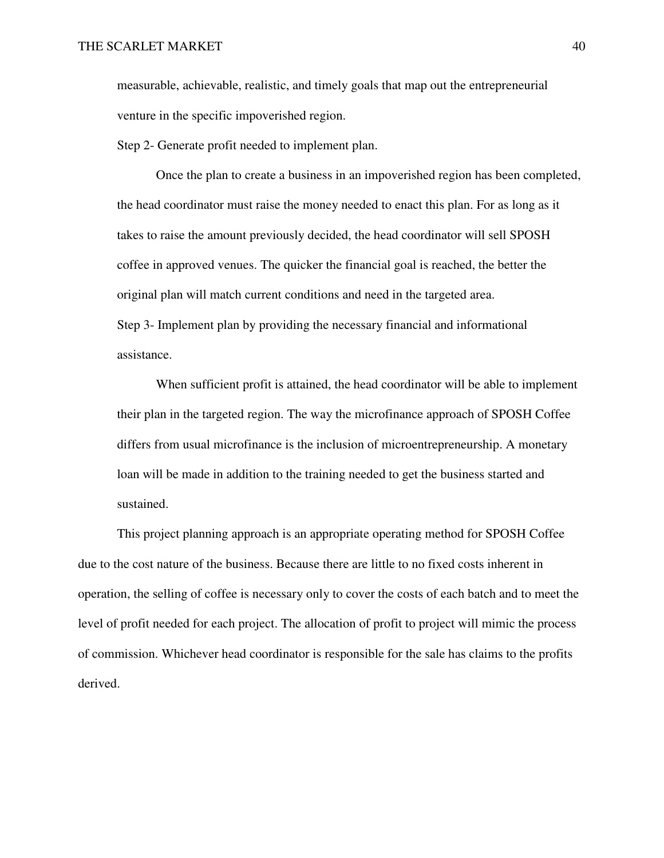measurable, achievable, realistic, and timely goals that map out the entrepreneurial venture in the specific impoverished region.

Step 2- Generate profit needed to implement plan.

 Once the plan to create a business in an impoverished region has been completed, the head coordinator must raise the money needed to enact this plan. For as long as it takes to raise the amount previously decided, the head coordinator will sell SPOSH coffee in approved venues. The quicker the financial goal is reached, the better the original plan will match current conditions and need in the targeted area. Step 3- Implement plan by providing the necessary financial and informational assistance.

 When sufficient profit is attained, the head coordinator will be able to implement their plan in the targeted region. The way the microfinance approach of SPOSH Coffee differs from usual microfinance is the inclusion of microentrepreneurship. A monetary loan will be made in addition to the training needed to get the business started and sustained.

 This project planning approach is an appropriate operating method for SPOSH Coffee due to the cost nature of the business. Because there are little to no fixed costs inherent in operation, the selling of coffee is necessary only to cover the costs of each batch and to meet the level of profit needed for each project. The allocation of profit to project will mimic the process of commission. Whichever head coordinator is responsible for the sale has claims to the profits derived.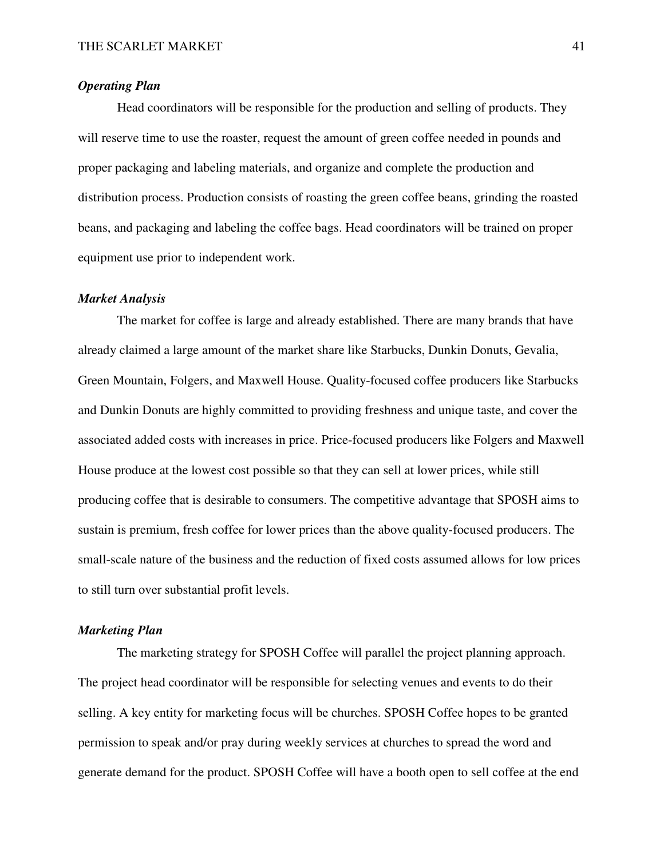# *Operating Plan*

 Head coordinators will be responsible for the production and selling of products. They will reserve time to use the roaster, request the amount of green coffee needed in pounds and proper packaging and labeling materials, and organize and complete the production and distribution process. Production consists of roasting the green coffee beans, grinding the roasted beans, and packaging and labeling the coffee bags. Head coordinators will be trained on proper equipment use prior to independent work.

#### *Market Analysis*

 The market for coffee is large and already established. There are many brands that have already claimed a large amount of the market share like Starbucks, Dunkin Donuts, Gevalia, Green Mountain, Folgers, and Maxwell House. Quality-focused coffee producers like Starbucks and Dunkin Donuts are highly committed to providing freshness and unique taste, and cover the associated added costs with increases in price. Price-focused producers like Folgers and Maxwell House produce at the lowest cost possible so that they can sell at lower prices, while still producing coffee that is desirable to consumers. The competitive advantage that SPOSH aims to sustain is premium, fresh coffee for lower prices than the above quality-focused producers. The small-scale nature of the business and the reduction of fixed costs assumed allows for low prices to still turn over substantial profit levels.

# *Marketing Plan*

 The marketing strategy for SPOSH Coffee will parallel the project planning approach. The project head coordinator will be responsible for selecting venues and events to do their selling. A key entity for marketing focus will be churches. SPOSH Coffee hopes to be granted permission to speak and/or pray during weekly services at churches to spread the word and generate demand for the product. SPOSH Coffee will have a booth open to sell coffee at the end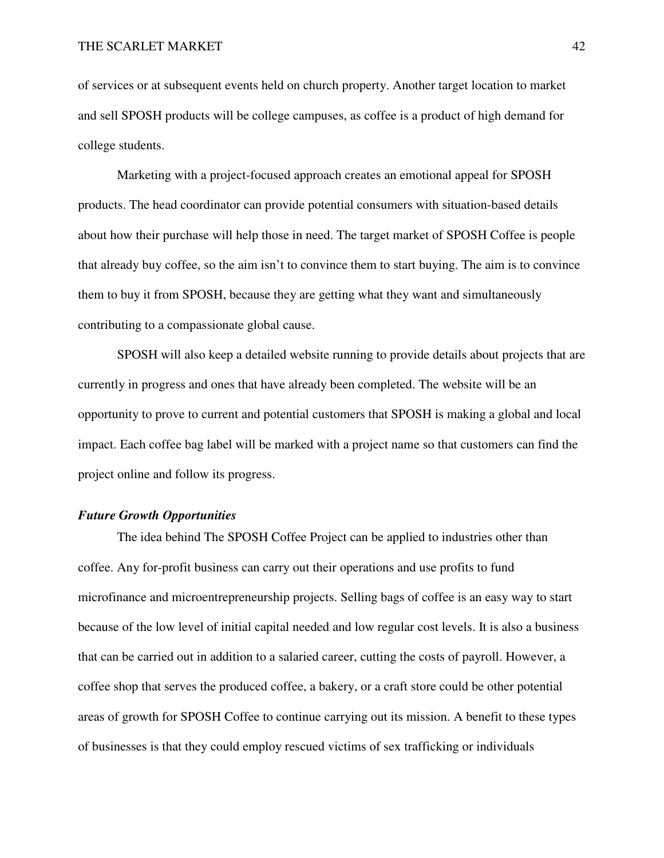of services or at subsequent events held on church property. Another target location to market and sell SPOSH products will be college campuses, as coffee is a product of high demand for college students.

 Marketing with a project-focused approach creates an emotional appeal for SPOSH products. The head coordinator can provide potential consumers with situation-based details about how their purchase will help those in need. The target market of SPOSH Coffee is people that already buy coffee, so the aim isn't to convince them to start buying. The aim is to convince them to buy it from SPOSH, because they are getting what they want and simultaneously contributing to a compassionate global cause.

 SPOSH will also keep a detailed website running to provide details about projects that are currently in progress and ones that have already been completed. The website will be an opportunity to prove to current and potential customers that SPOSH is making a global and local impact. Each coffee bag label will be marked with a project name so that customers can find the project online and follow its progress.

### *Future Growth Opportunities*

 The idea behind The SPOSH Coffee Project can be applied to industries other than coffee. Any for-profit business can carry out their operations and use profits to fund microfinance and microentrepreneurship projects. Selling bags of coffee is an easy way to start because of the low level of initial capital needed and low regular cost levels. It is also a business that can be carried out in addition to a salaried career, cutting the costs of payroll. However, a coffee shop that serves the produced coffee, a bakery, or a craft store could be other potential areas of growth for SPOSH Coffee to continue carrying out its mission. A benefit to these types of businesses is that they could employ rescued victims of sex trafficking or individuals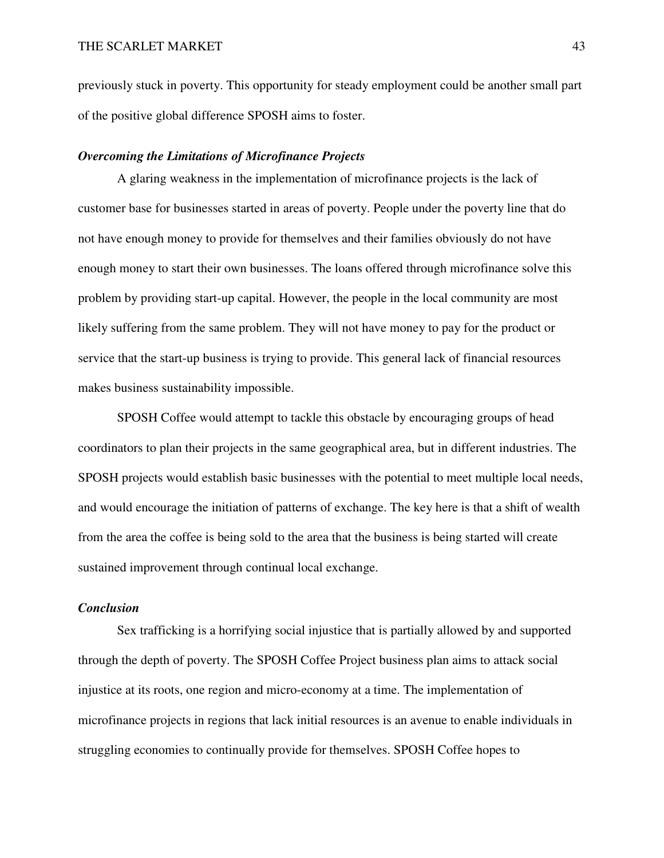previously stuck in poverty. This opportunity for steady employment could be another small part of the positive global difference SPOSH aims to foster.

# *Overcoming the Limitations of Microfinance Projects*

 A glaring weakness in the implementation of microfinance projects is the lack of customer base for businesses started in areas of poverty. People under the poverty line that do not have enough money to provide for themselves and their families obviously do not have enough money to start their own businesses. The loans offered through microfinance solve this problem by providing start-up capital. However, the people in the local community are most likely suffering from the same problem. They will not have money to pay for the product or service that the start-up business is trying to provide. This general lack of financial resources makes business sustainability impossible.

 SPOSH Coffee would attempt to tackle this obstacle by encouraging groups of head coordinators to plan their projects in the same geographical area, but in different industries. The SPOSH projects would establish basic businesses with the potential to meet multiple local needs, and would encourage the initiation of patterns of exchange. The key here is that a shift of wealth from the area the coffee is being sold to the area that the business is being started will create sustained improvement through continual local exchange.

# *Conclusion*

 Sex trafficking is a horrifying social injustice that is partially allowed by and supported through the depth of poverty. The SPOSH Coffee Project business plan aims to attack social injustice at its roots, one region and micro-economy at a time. The implementation of microfinance projects in regions that lack initial resources is an avenue to enable individuals in struggling economies to continually provide for themselves. SPOSH Coffee hopes to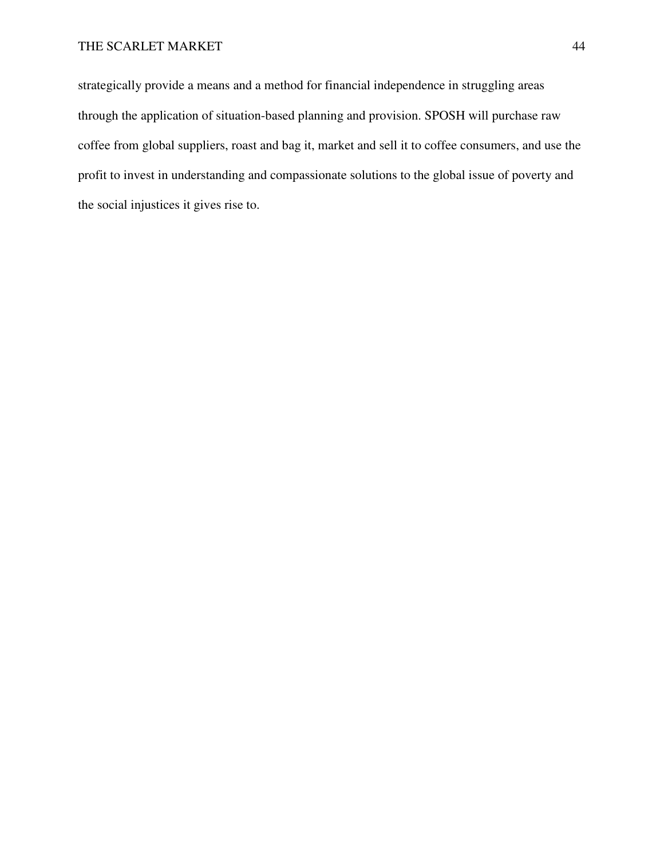# THE SCARLET MARKET 44

strategically provide a means and a method for financial independence in struggling areas through the application of situation-based planning and provision. SPOSH will purchase raw coffee from global suppliers, roast and bag it, market and sell it to coffee consumers, and use the profit to invest in understanding and compassionate solutions to the global issue of poverty and the social injustices it gives rise to.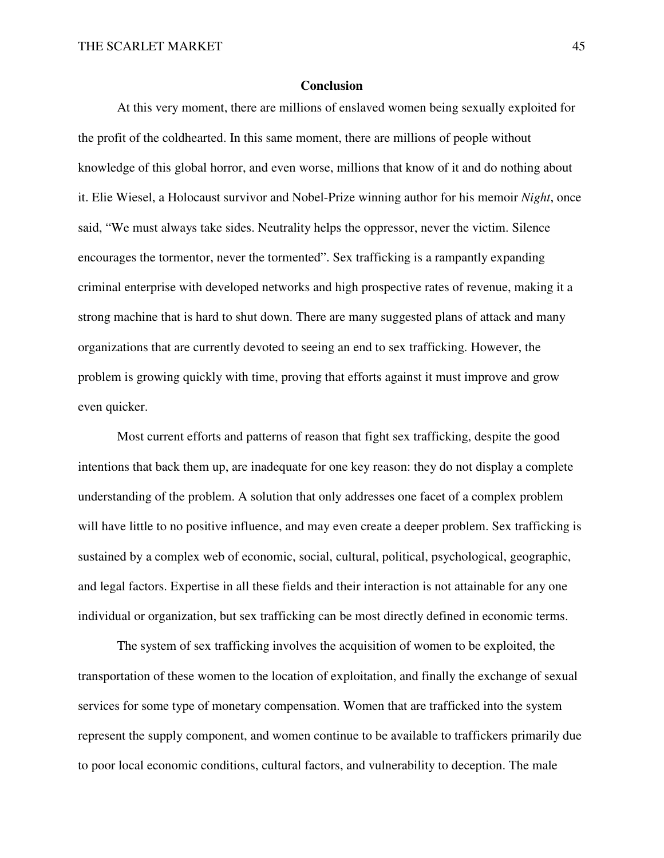### **Conclusion**

 At this very moment, there are millions of enslaved women being sexually exploited for the profit of the coldhearted. In this same moment, there are millions of people without knowledge of this global horror, and even worse, millions that know of it and do nothing about it. Elie Wiesel, a Holocaust survivor and Nobel-Prize winning author for his memoir *Night*, once said, "We must always take sides. Neutrality helps the oppressor, never the victim. Silence encourages the tormentor, never the tormented". Sex trafficking is a rampantly expanding criminal enterprise with developed networks and high prospective rates of revenue, making it a strong machine that is hard to shut down. There are many suggested plans of attack and many organizations that are currently devoted to seeing an end to sex trafficking. However, the problem is growing quickly with time, proving that efforts against it must improve and grow even quicker.

 Most current efforts and patterns of reason that fight sex trafficking, despite the good intentions that back them up, are inadequate for one key reason: they do not display a complete understanding of the problem. A solution that only addresses one facet of a complex problem will have little to no positive influence, and may even create a deeper problem. Sex trafficking is sustained by a complex web of economic, social, cultural, political, psychological, geographic, and legal factors. Expertise in all these fields and their interaction is not attainable for any one individual or organization, but sex trafficking can be most directly defined in economic terms.

 The system of sex trafficking involves the acquisition of women to be exploited, the transportation of these women to the location of exploitation, and finally the exchange of sexual services for some type of monetary compensation. Women that are trafficked into the system represent the supply component, and women continue to be available to traffickers primarily due to poor local economic conditions, cultural factors, and vulnerability to deception. The male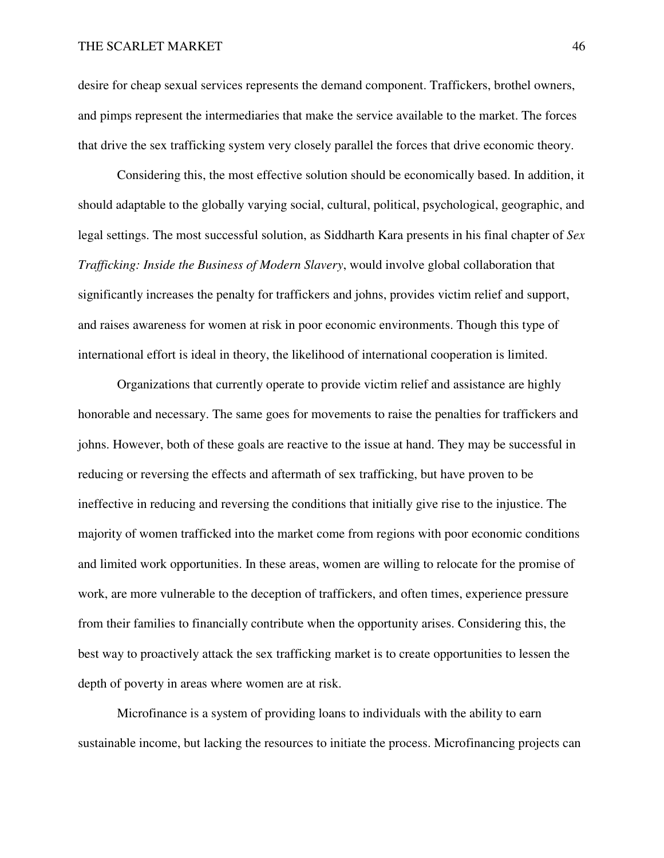desire for cheap sexual services represents the demand component. Traffickers, brothel owners, and pimps represent the intermediaries that make the service available to the market. The forces that drive the sex trafficking system very closely parallel the forces that drive economic theory.

 Considering this, the most effective solution should be economically based. In addition, it should adaptable to the globally varying social, cultural, political, psychological, geographic, and legal settings. The most successful solution, as Siddharth Kara presents in his final chapter of *Sex Trafficking: Inside the Business of Modern Slavery*, would involve global collaboration that significantly increases the penalty for traffickers and johns, provides victim relief and support, and raises awareness for women at risk in poor economic environments. Though this type of international effort is ideal in theory, the likelihood of international cooperation is limited.

 Organizations that currently operate to provide victim relief and assistance are highly honorable and necessary. The same goes for movements to raise the penalties for traffickers and johns. However, both of these goals are reactive to the issue at hand. They may be successful in reducing or reversing the effects and aftermath of sex trafficking, but have proven to be ineffective in reducing and reversing the conditions that initially give rise to the injustice. The majority of women trafficked into the market come from regions with poor economic conditions and limited work opportunities. In these areas, women are willing to relocate for the promise of work, are more vulnerable to the deception of traffickers, and often times, experience pressure from their families to financially contribute when the opportunity arises. Considering this, the best way to proactively attack the sex trafficking market is to create opportunities to lessen the depth of poverty in areas where women are at risk.

 Microfinance is a system of providing loans to individuals with the ability to earn sustainable income, but lacking the resources to initiate the process. Microfinancing projects can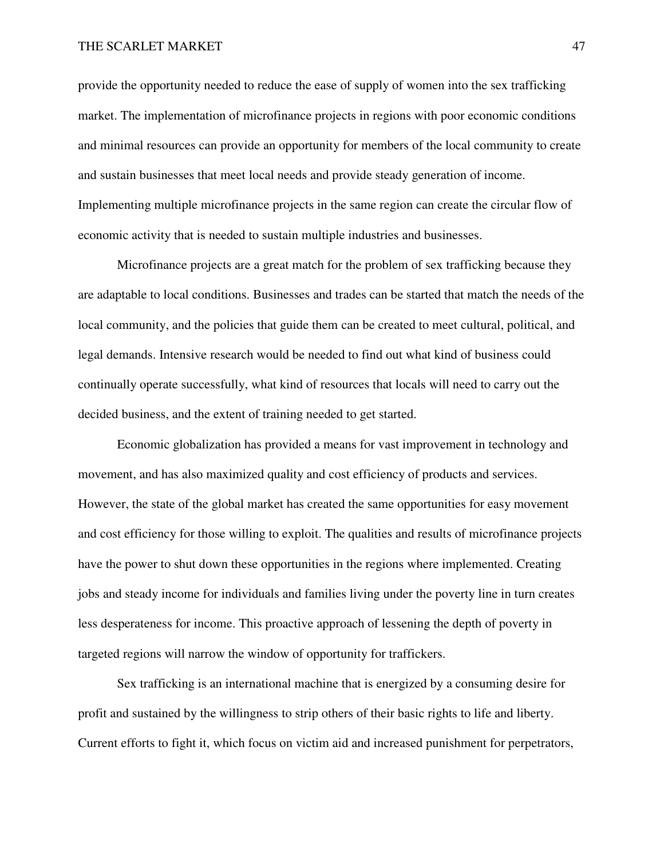provide the opportunity needed to reduce the ease of supply of women into the sex trafficking market. The implementation of microfinance projects in regions with poor economic conditions and minimal resources can provide an opportunity for members of the local community to create and sustain businesses that meet local needs and provide steady generation of income. Implementing multiple microfinance projects in the same region can create the circular flow of economic activity that is needed to sustain multiple industries and businesses.

 Microfinance projects are a great match for the problem of sex trafficking because they are adaptable to local conditions. Businesses and trades can be started that match the needs of the local community, and the policies that guide them can be created to meet cultural, political, and legal demands. Intensive research would be needed to find out what kind of business could continually operate successfully, what kind of resources that locals will need to carry out the decided business, and the extent of training needed to get started.

 Economic globalization has provided a means for vast improvement in technology and movement, and has also maximized quality and cost efficiency of products and services. However, the state of the global market has created the same opportunities for easy movement and cost efficiency for those willing to exploit. The qualities and results of microfinance projects have the power to shut down these opportunities in the regions where implemented. Creating jobs and steady income for individuals and families living under the poverty line in turn creates less desperateness for income. This proactive approach of lessening the depth of poverty in targeted regions will narrow the window of opportunity for traffickers.

 Sex trafficking is an international machine that is energized by a consuming desire for profit and sustained by the willingness to strip others of their basic rights to life and liberty. Current efforts to fight it, which focus on victim aid and increased punishment for perpetrators,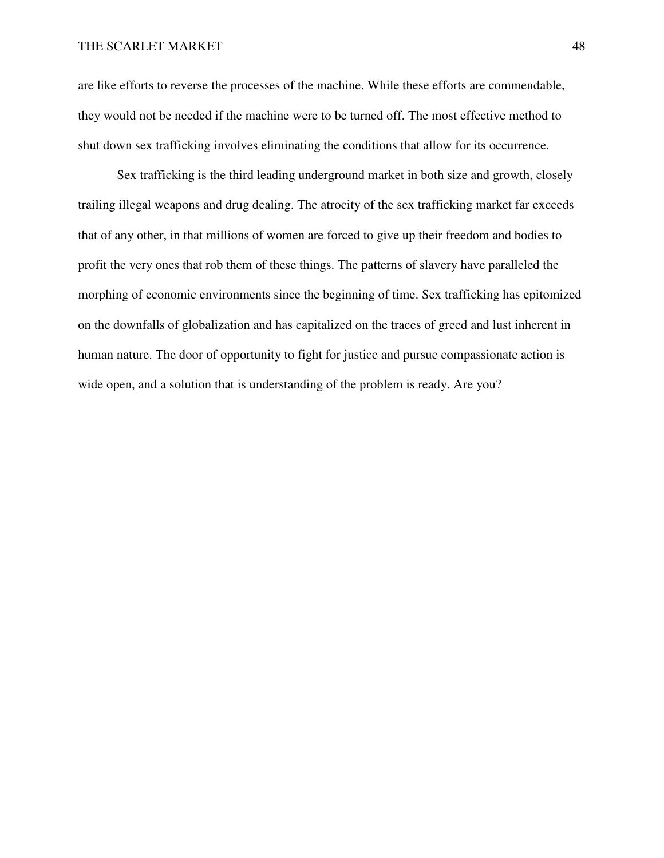are like efforts to reverse the processes of the machine. While these efforts are commendable, they would not be needed if the machine were to be turned off. The most effective method to shut down sex trafficking involves eliminating the conditions that allow for its occurrence.

 Sex trafficking is the third leading underground market in both size and growth, closely trailing illegal weapons and drug dealing. The atrocity of the sex trafficking market far exceeds that of any other, in that millions of women are forced to give up their freedom and bodies to profit the very ones that rob them of these things. The patterns of slavery have paralleled the morphing of economic environments since the beginning of time. Sex trafficking has epitomized on the downfalls of globalization and has capitalized on the traces of greed and lust inherent in human nature. The door of opportunity to fight for justice and pursue compassionate action is wide open, and a solution that is understanding of the problem is ready. Are you?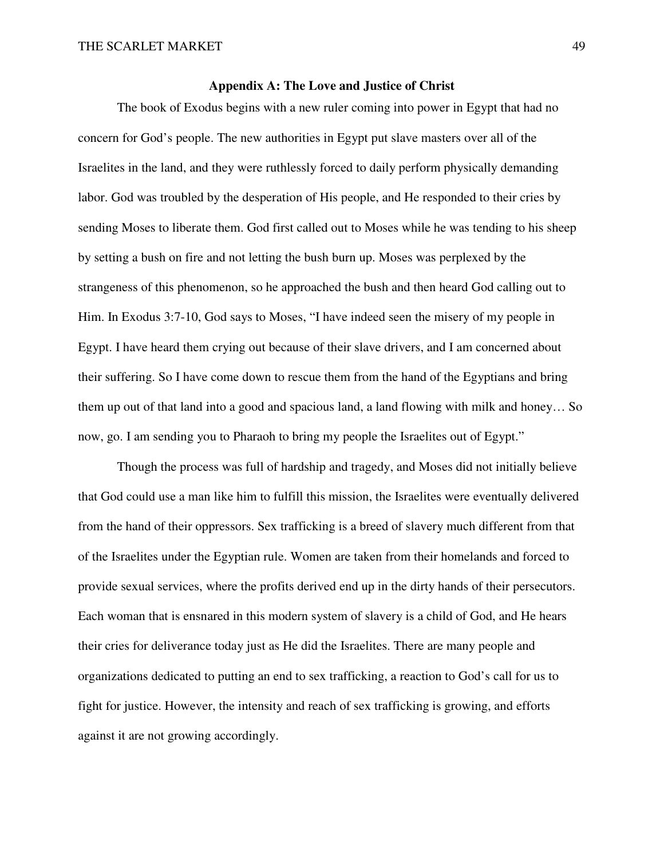# **Appendix A: The Love and Justice of Christ**

 The book of Exodus begins with a new ruler coming into power in Egypt that had no concern for God's people. The new authorities in Egypt put slave masters over all of the Israelites in the land, and they were ruthlessly forced to daily perform physically demanding labor. God was troubled by the desperation of His people, and He responded to their cries by sending Moses to liberate them. God first called out to Moses while he was tending to his sheep by setting a bush on fire and not letting the bush burn up. Moses was perplexed by the strangeness of this phenomenon, so he approached the bush and then heard God calling out to Him. In Exodus 3:7-10, God says to Moses, "I have indeed seen the misery of my people in Egypt. I have heard them crying out because of their slave drivers, and I am concerned about their suffering. So I have come down to rescue them from the hand of the Egyptians and bring them up out of that land into a good and spacious land, a land flowing with milk and honey… So now, go. I am sending you to Pharaoh to bring my people the Israelites out of Egypt."

 Though the process was full of hardship and tragedy, and Moses did not initially believe that God could use a man like him to fulfill this mission, the Israelites were eventually delivered from the hand of their oppressors. Sex trafficking is a breed of slavery much different from that of the Israelites under the Egyptian rule. Women are taken from their homelands and forced to provide sexual services, where the profits derived end up in the dirty hands of their persecutors. Each woman that is ensnared in this modern system of slavery is a child of God, and He hears their cries for deliverance today just as He did the Israelites. There are many people and organizations dedicated to putting an end to sex trafficking, a reaction to God's call for us to fight for justice. However, the intensity and reach of sex trafficking is growing, and efforts against it are not growing accordingly.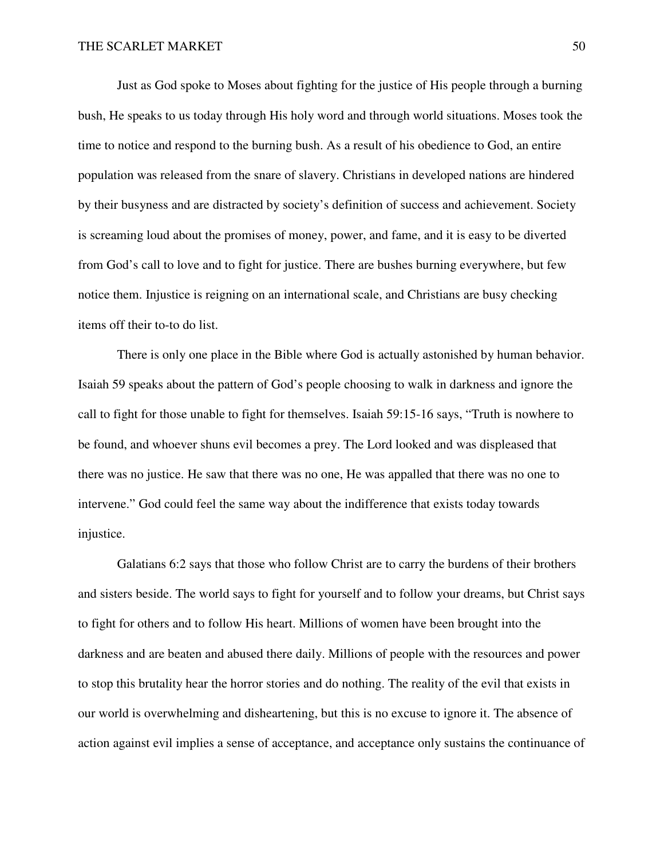Just as God spoke to Moses about fighting for the justice of His people through a burning bush, He speaks to us today through His holy word and through world situations. Moses took the time to notice and respond to the burning bush. As a result of his obedience to God, an entire population was released from the snare of slavery. Christians in developed nations are hindered by their busyness and are distracted by society's definition of success and achievement. Society is screaming loud about the promises of money, power, and fame, and it is easy to be diverted from God's call to love and to fight for justice. There are bushes burning everywhere, but few notice them. Injustice is reigning on an international scale, and Christians are busy checking items off their to-to do list.

 There is only one place in the Bible where God is actually astonished by human behavior. Isaiah 59 speaks about the pattern of God's people choosing to walk in darkness and ignore the call to fight for those unable to fight for themselves. Isaiah 59:15-16 says, "Truth is nowhere to be found, and whoever shuns evil becomes a prey. The Lord looked and was displeased that there was no justice. He saw that there was no one, He was appalled that there was no one to intervene." God could feel the same way about the indifference that exists today towards injustice.

 Galatians 6:2 says that those who follow Christ are to carry the burdens of their brothers and sisters beside. The world says to fight for yourself and to follow your dreams, but Christ says to fight for others and to follow His heart. Millions of women have been brought into the darkness and are beaten and abused there daily. Millions of people with the resources and power to stop this brutality hear the horror stories and do nothing. The reality of the evil that exists in our world is overwhelming and disheartening, but this is no excuse to ignore it. The absence of action against evil implies a sense of acceptance, and acceptance only sustains the continuance of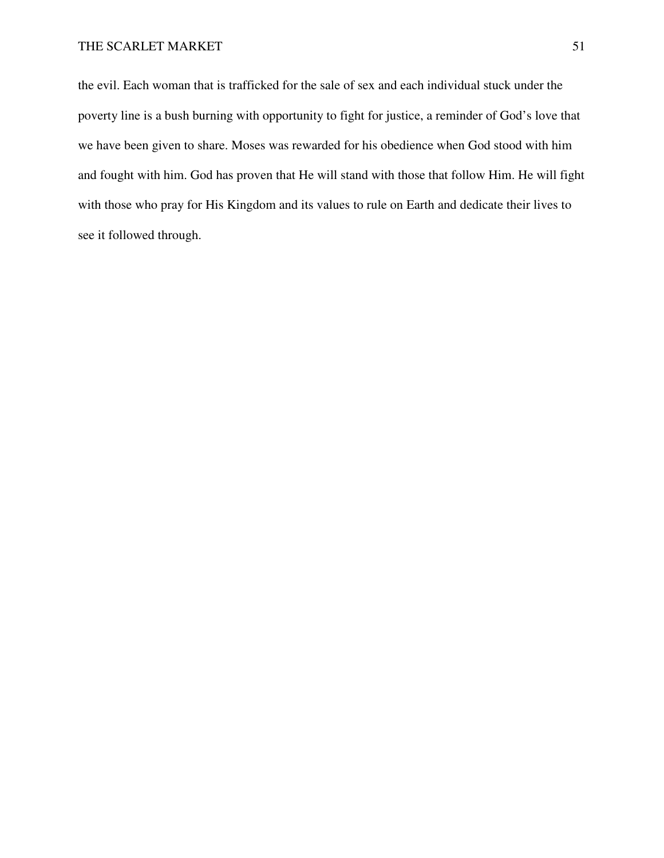the evil. Each woman that is trafficked for the sale of sex and each individual stuck under the poverty line is a bush burning with opportunity to fight for justice, a reminder of God's love that we have been given to share. Moses was rewarded for his obedience when God stood with him and fought with him. God has proven that He will stand with those that follow Him. He will fight with those who pray for His Kingdom and its values to rule on Earth and dedicate their lives to see it followed through.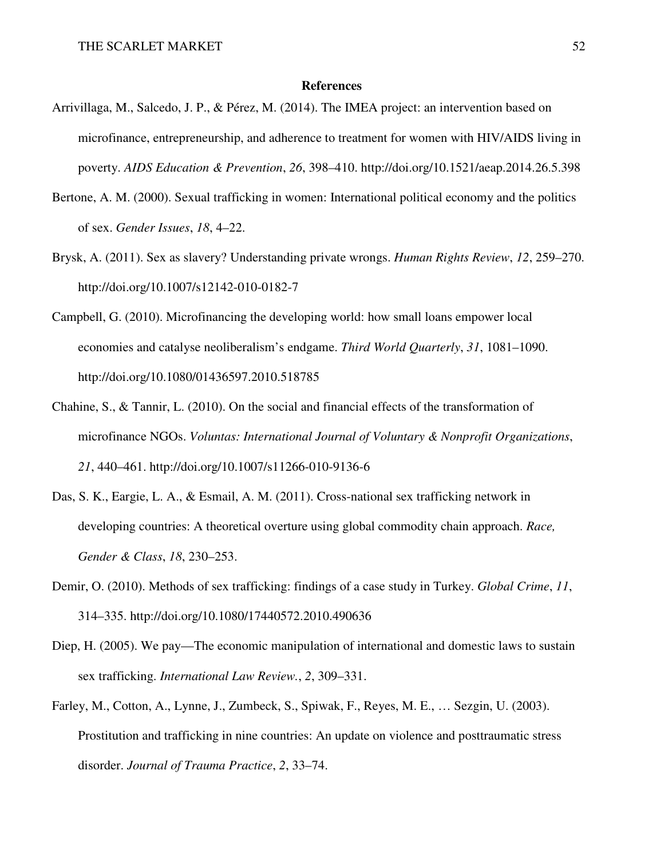#### **References**

- Arrivillaga, M., Salcedo, J. P., & Pérez, M. (2014). The IMEA project: an intervention based on microfinance, entrepreneurship, and adherence to treatment for women with HIV/AIDS living in poverty. *AIDS Education & Prevention*, *26*, 398–410. http://doi.org/10.1521/aeap.2014.26.5.398
- Bertone, A. M. (2000). Sexual trafficking in women: International political economy and the politics of sex. *Gender Issues*, *18*, 4–22.
- Brysk, A. (2011). Sex as slavery? Understanding private wrongs. *Human Rights Review*, *12*, 259–270. http://doi.org/10.1007/s12142-010-0182-7
- Campbell, G. (2010). Microfinancing the developing world: how small loans empower local economies and catalyse neoliberalism's endgame. *Third World Quarterly*, *31*, 1081–1090. http://doi.org/10.1080/01436597.2010.518785
- Chahine, S., & Tannir, L. (2010). On the social and financial effects of the transformation of microfinance NGOs. *Voluntas: International Journal of Voluntary & Nonprofit Organizations*, *21*, 440–461. http://doi.org/10.1007/s11266-010-9136-6
- Das, S. K., Eargie, L. A., & Esmail, A. M. (2011). Cross-national sex trafficking network in developing countries: A theoretical overture using global commodity chain approach. *Race, Gender & Class*, *18*, 230–253.
- Demir, O. (2010). Methods of sex trafficking: findings of a case study in Turkey. *Global Crime*, *11*, 314–335. http://doi.org/10.1080/17440572.2010.490636
- Diep, H. (2005). We pay—The economic manipulation of international and domestic laws to sustain sex trafficking. *International Law Review.*, *2*, 309–331.
- Farley, M., Cotton, A., Lynne, J., Zumbeck, S., Spiwak, F., Reyes, M. E., … Sezgin, U. (2003). Prostitution and trafficking in nine countries: An update on violence and posttraumatic stress disorder. *Journal of Trauma Practice*, *2*, 33–74.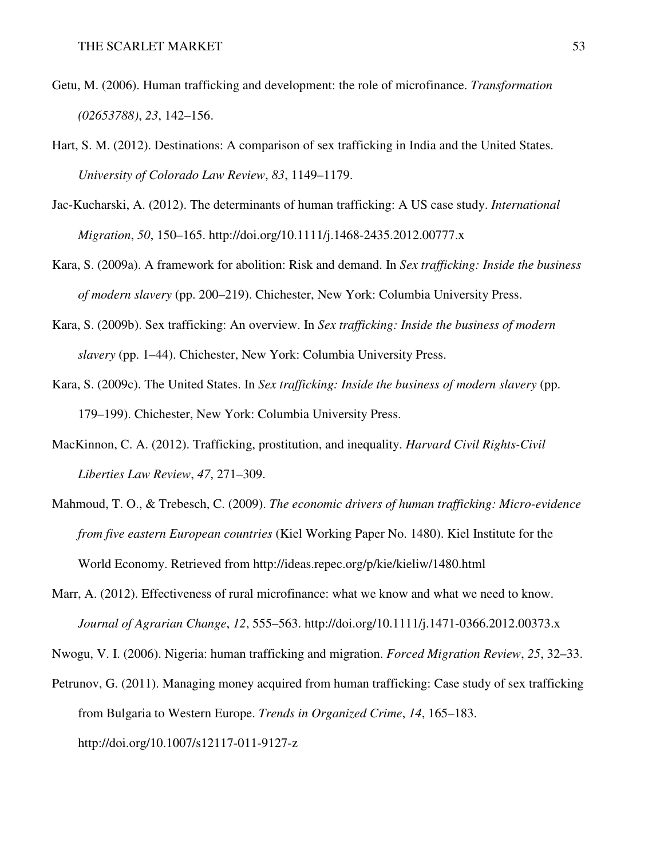- Getu, M. (2006). Human trafficking and development: the role of microfinance. *Transformation (02653788)*, *23*, 142–156.
- Hart, S. M. (2012). Destinations: A comparison of sex trafficking in India and the United States. *University of Colorado Law Review*, *83*, 1149–1179.
- Jac-Kucharski, A. (2012). The determinants of human trafficking: A US case study. *International Migration*, *50*, 150–165. http://doi.org/10.1111/j.1468-2435.2012.00777.x
- Kara, S. (2009a). A framework for abolition: Risk and demand. In *Sex trafficking: Inside the business of modern slavery* (pp. 200–219). Chichester, New York: Columbia University Press.
- Kara, S. (2009b). Sex trafficking: An overview. In *Sex trafficking: Inside the business of modern slavery* (pp. 1–44). Chichester, New York: Columbia University Press.
- Kara, S. (2009c). The United States. In *Sex trafficking: Inside the business of modern slavery* (pp. 179–199). Chichester, New York: Columbia University Press.
- MacKinnon, C. A. (2012). Trafficking, prostitution, and inequality. *Harvard Civil Rights-Civil Liberties Law Review*, *47*, 271–309.
- Mahmoud, T. O., & Trebesch, C. (2009). *The economic drivers of human trafficking: Micro-evidence from five eastern European countries* (Kiel Working Paper No. 1480). Kiel Institute for the World Economy. Retrieved from http://ideas.repec.org/p/kie/kieliw/1480.html
- Marr, A. (2012). Effectiveness of rural microfinance: what we know and what we need to know. *Journal of Agrarian Change*, *12*, 555–563. http://doi.org/10.1111/j.1471-0366.2012.00373.x

Nwogu, V. I. (2006). Nigeria: human trafficking and migration. *Forced Migration Review*, *25*, 32–33.

Petrunov, G. (2011). Managing money acquired from human trafficking: Case study of sex trafficking from Bulgaria to Western Europe. *Trends in Organized Crime*, *14*, 165–183. http://doi.org/10.1007/s12117-011-9127-z